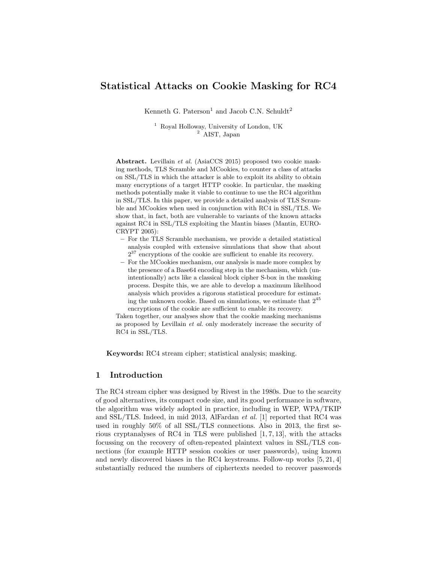# Statistical Attacks on Cookie Masking for RC4

Kenneth G. Paterson<sup>1</sup> and Jacob C.N. Schuldt<sup>2</sup>

<sup>1</sup> Royal Holloway, University of London, UK <sup>2</sup> AIST, Japan

Abstract. Levillain et al. (AsiaCCS 2015) proposed two cookie masking methods, TLS Scramble and MCookies, to counter a class of attacks on SSL/TLS in which the attacker is able to exploit its ability to obtain many encryptions of a target HTTP cookie. In particular, the masking methods potentially make it viable to continue to use the RC4 algorithm in SSL/TLS. In this paper, we provide a detailed analysis of TLS Scramble and MCookies when used in conjunction with RC4 in SSL/TLS. We show that, in fact, both are vulnerable to variants of the known attacks against RC4 in SSL/TLS exploiting the Mantin biases (Mantin, EURO-CRYPT 2005):

- For the TLS Scramble mechanism, we provide a detailed statistical analysis coupled with extensive simulations that show that about  $2^{37}$  encryptions of the cookie are sufficient to enable its recovery.
- For the MCookies mechanism, our analysis is made more complex by the presence of a Base64 encoding step in the mechanism, which (unintentionally) acts like a classical block cipher S-box in the masking process. Despite this, we are able to develop a maximum likelihood analysis which provides a rigorous statistical procedure for estimating the unknown cookie. Based on simulations, we estimate that  $2^{45}$ encryptions of the cookie are sufficient to enable its recovery.

Taken together, our analyses show that the cookie masking mechanisms as proposed by Levillain et al. only moderately increase the security of RC4 in SSL/TLS.

Keywords: RC4 stream cipher; statistical analysis; masking.

## 1 Introduction

The RC4 stream cipher was designed by Rivest in the 1980s. Due to the scarcity of good alternatives, its compact code size, and its good performance in software, the algorithm was widely adopted in practice, including in WEP, WPA/TKIP and SSL/TLS. Indeed, in mid 2013, AlFardan et al. [1] reported that RC4 was used in roughly 50% of all SSL/TLS connections. Also in 2013, the first serious cryptanalyses of RC4 in TLS were published  $[1, 7, 13]$ , with the attacks focussing on the recovery of often-repeated plaintext values in SSL/TLS connections (for example HTTP session cookies or user passwords), using known and newly discovered biases in the RC4 keystreams. Follow-up works [5, 21, 4] substantially reduced the numbers of ciphertexts needed to recover passwords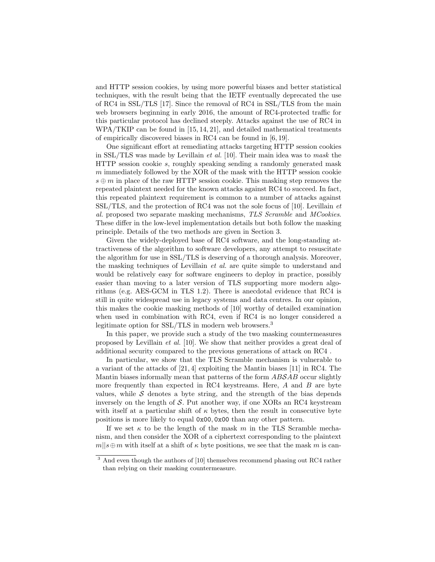and HTTP session cookies, by using more powerful biases and better statistical techniques, with the result being that the IETF eventually deprecated the use of RC4 in SSL/TLS [17]. Since the removal of RC4 in SSL/TLS from the main web browsers beginning in early 2016, the amount of RC4-protected traffic for this particular protocol has declined steeply. Attacks against the use of RC4 in WPA/TKIP can be found in [15, 14, 21], and detailed mathematical treatments of empirically discovered biases in RC4 can be found in [6, 19].

One significant effort at remediating attacks targeting HTTP session cookies in SSL/TLS was made by Levillain *et al.* [10]. Their main idea was to mask the HTTP session cookie s, roughly speaking sending a randomly generated mask m immediately followed by the XOR of the mask with the HTTP session cookie  $s \oplus m$  in place of the raw HTTP session cookie. This masking step removes the repeated plaintext needed for the known attacks against RC4 to succeed. In fact, this repeated plaintext requirement is common to a number of attacks against SSL/TLS, and the protection of RC4 was not the sole focus of [10]. Levillain et al. proposed two separate masking mechanisms, TLS Scramble and MCookies. These differ in the low-level implementation details but both follow the masking principle. Details of the two methods are given in Section 3.

Given the widely-deployed base of RC4 software, and the long-standing attractiveness of the algorithm to software developers, any attempt to resuscitate the algorithm for use in SSL/TLS is deserving of a thorough analysis. Moreover, the masking techniques of Levillain et al. are quite simple to understand and would be relatively easy for software engineers to deploy in practice, possibly easier than moving to a later version of TLS supporting more modern algorithms (e.g. AES-GCM in TLS 1.2). There is anecdotal evidence that RC4 is still in quite widespread use in legacy systems and data centres. In our opinion, this makes the cookie masking methods of [10] worthy of detailed examination when used in combination with RC4, even if RC4 is no longer considered a legitimate option for SSL/TLS in modern web browsers.<sup>3</sup>

In this paper, we provide such a study of the two masking countermeasures proposed by Levillain et al. [10]. We show that neither provides a great deal of additional security compared to the previous generations of attack on RC4 .

In particular, we show that the TLS Scramble mechanism is vulnerable to a variant of the attacks of [21, 4] exploiting the Mantin biases [11] in RC4. The Mantin biases informally mean that patterns of the form ABSAB occur slightly more frequently than expected in RC4 keystreams. Here,  $A$  and  $B$  are byte values, while  $S$  denotes a byte string, and the strength of the bias depends inversely on the length of  $S$ . Put another way, if one XORs an RC4 keystream with itself at a particular shift of  $\kappa$  bytes, then the result in consecutive byte positions is more likely to equal 0x00, 0x00 than any other pattern.

If we set  $\kappa$  to be the length of the mask m in the TLS Scramble mechanism, and then consider the XOR of a ciphertext corresponding to the plaintext  $m||s \oplus m$  with itself at a shift of  $\kappa$  byte positions, we see that the mask m is can-

<sup>&</sup>lt;sup>3</sup> And even though the authors of [10] themselves recommend phasing out RC4 rather than relying on their masking countermeasure.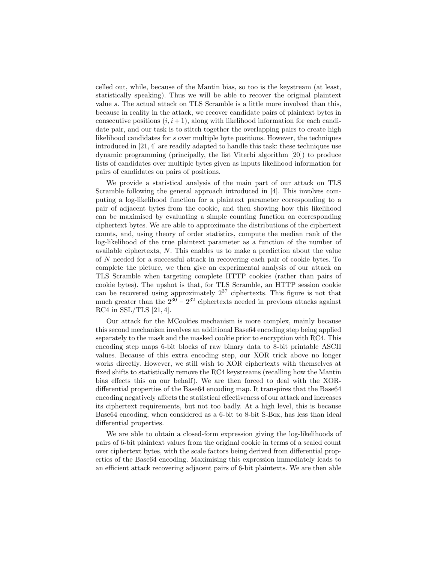celled out, while, because of the Mantin bias, so too is the keystream (at least, statistically speaking). Thus we will be able to recover the original plaintext value s. The actual attack on TLS Scramble is a little more involved than this, because in reality in the attack, we recover candidate pairs of plaintext bytes in consecutive positions  $(i, i + 1)$ , along with likelihood information for each candidate pair, and our task is to stitch together the overlapping pairs to create high likelihood candidates for s over multiple byte positions. However, the techniques introduced in [21, 4] are readily adapted to handle this task: these techniques use dynamic programming (principally, the list Viterbi algorithm [20]) to produce lists of candidates over multiple bytes given as inputs likelihood information for pairs of candidates on pairs of positions.

We provide a statistical analysis of the main part of our attack on TLS Scramble following the general approach introduced in [4]. This involves computing a log-likelihood function for a plaintext parameter corresponding to a pair of adjacent bytes from the cookie, and then showing how this likelihood can be maximised by evaluating a simple counting function on corresponding ciphertext bytes. We are able to approximate the distributions of the ciphertext counts, and, using theory of order statistics, compute the median rank of the log-likelihood of the true plaintext parameter as a function of the number of available ciphertexts, N. This enables us to make a prediction about the value of N needed for a successful attack in recovering each pair of cookie bytes. To complete the picture, we then give an experimental analysis of our attack on TLS Scramble when targeting complete HTTP cookies (rather than pairs of cookie bytes). The upshot is that, for TLS Scramble, an HTTP session cookie can be recovered using approximately 2<sup>37</sup> ciphertexts. This figure is not that much greater than the  $2^{30} - 2^{32}$  ciphertexts needed in previous attacks against RC4 in SSL/TLS [21, 4].

Our attack for the MCookies mechanism is more complex, mainly because this second mechanism involves an additional Base64 encoding step being applied separately to the mask and the masked cookie prior to encryption with RC4. This encoding step maps 6-bit blocks of raw binary data to 8-bit printable ASCII values. Because of this extra encoding step, our XOR trick above no longer works directly. However, we still wish to XOR ciphertexts with themselves at fixed shifts to statistically remove the RC4 keystreams (recalling how the Mantin bias effects this on our behalf). We are then forced to deal with the XORdifferential properties of the Base64 encoding map. It transpires that the Base64 encoding negatively affects the statistical effectiveness of our attack and increases its ciphertext requirements, but not too badly. At a high level, this is because Base64 encoding, when considered as a 6-bit to 8-bit S-Box, has less than ideal differential properties.

We are able to obtain a closed-form expression giving the log-likelihoods of pairs of 6-bit plaintext values from the original cookie in terms of a scaled count over ciphertext bytes, with the scale factors being derived from differential properties of the Base64 encoding. Maximising this expression immediately leads to an efficient attack recovering adjacent pairs of 6-bit plaintexts. We are then able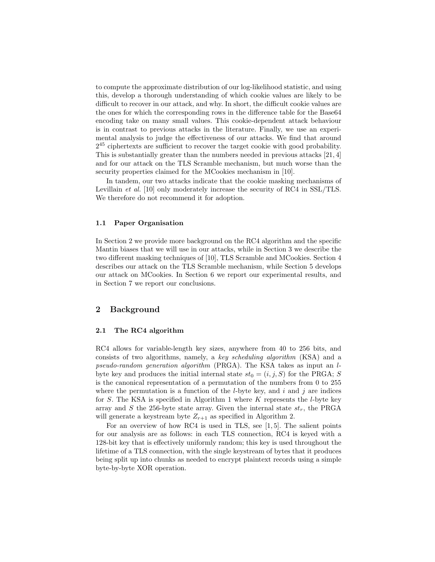to compute the approximate distribution of our log-likelihood statistic, and using this, develop a thorough understanding of which cookie values are likely to be difficult to recover in our attack, and why. In short, the difficult cookie values are the ones for which the corresponding rows in the difference table for the Base64 encoding take on many small values. This cookie-dependent attack behaviour is in contrast to previous attacks in the literature. Finally, we use an experimental analysis to judge the effectiveness of our attacks. We find that around  $2^{45}$  ciphertexts are sufficient to recover the target cookie with good probability. This is substantially greater than the numbers needed in previous attacks [21, 4] and for our attack on the TLS Scramble mechanism, but much worse than the security properties claimed for the MCookies mechanism in [10].

In tandem, our two attacks indicate that the cookie masking mechanisms of Levillain *et al.* [10] only moderately increase the security of RC4 in SSL/TLS. We therefore do not recommend it for adoption.

#### 1.1 Paper Organisation

In Section 2 we provide more background on the RC4 algorithm and the specific Mantin biases that we will use in our attacks, while in Section 3 we describe the two different masking techniques of [10], TLS Scramble and MCookies. Section 4 describes our attack on the TLS Scramble mechanism, while Section 5 develops our attack on MCookies. In Section 6 we report our experimental results, and in Section 7 we report our conclusions.

## 2 Background

#### 2.1 The RC4 algorithm

RC4 allows for variable-length key sizes, anywhere from 40 to 256 bits, and consists of two algorithms, namely, a key scheduling algorithm (KSA) and a pseudo-random generation algorithm (PRGA). The KSA takes as input an lbyte key and produces the initial internal state  $st_0 = (i, j, S)$  for the PRGA; S is the canonical representation of a permutation of the numbers from 0 to 255 where the permutation is a function of the *l*-byte key, and i and j are indices for  $S$ . The KSA is specified in Algorithm 1 where  $K$  represents the *l*-byte key array and S the 256-byte state array. Given the internal state  $st_r$ , the PRGA will generate a keystream byte  $Z_{r+1}$  as specified in Algorithm 2.

For an overview of how RC4 is used in TLS, see [1, 5]. The salient points for our analysis are as follows: in each TLS connection, RC4 is keyed with a 128-bit key that is effectively uniformly random; this key is used throughout the lifetime of a TLS connection, with the single keystream of bytes that it produces being split up into chunks as needed to encrypt plaintext records using a simple byte-by-byte XOR operation.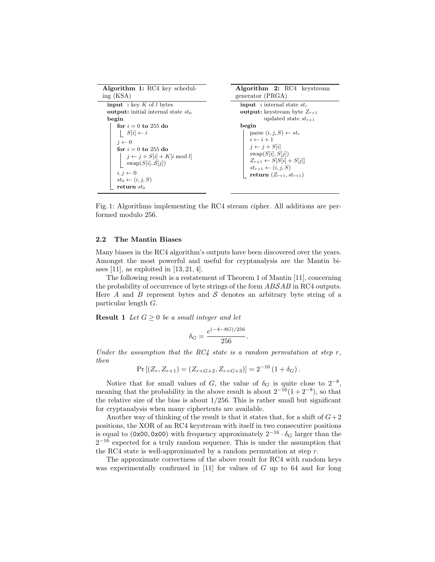| <b>Algorithm 1:</b> RC4 key schedul-                                                      | <b>Algorithm 2:</b> RC4 keystream                                                                             |  |  |  |  |  |
|-------------------------------------------------------------------------------------------|---------------------------------------------------------------------------------------------------------------|--|--|--|--|--|
| ing (KSA)                                                                                 | generator (PRGA)                                                                                              |  |  |  |  |  |
| <b>input</b> : key K of l bytes                                                           | <b>input</b> : internal state $st_r$                                                                          |  |  |  |  |  |
| <b>output:</b> initial internal state $st_0$                                              | <b>output:</b> keystream byte $Z_{r+1}$                                                                       |  |  |  |  |  |
| begin                                                                                     | updated state $st_{r+1}$                                                                                      |  |  |  |  |  |
| for $i = 0$ to 255 do                                                                     | begin                                                                                                         |  |  |  |  |  |
| $\mid S[i] \leftarrow i$                                                                  | parse $(i, j, S) \leftarrow st_r$                                                                             |  |  |  |  |  |
| $i \leftarrow 0$                                                                          | $i \leftarrow i + 1$                                                                                          |  |  |  |  |  |
| for $i = 0$ to 255 do                                                                     | $i \leftarrow i + S[i]$                                                                                       |  |  |  |  |  |
| $j \leftarrow j + S[i] + K[i \mod l]$                                                     | swap(S[i], S[j])                                                                                              |  |  |  |  |  |
| $swap(S[i], S[j])$<br>$i, j \leftarrow 0$<br>$st_0 \leftarrow (i, j, S)$<br>return $st_0$ | $Z_{r+1} \leftarrow S[S[i] + S[i]]$<br>$st_{r+1} \leftarrow (i, j, S)$<br><b>return</b> $(Z_{r+1}, st_{r+1})$ |  |  |  |  |  |

Fig. 1: Algorithms implementing the RC4 stream cipher. All additions are performed modulo 256.

#### 2.2 The Mantin Biases

Many biases in the RC4 algorithm's outputs have been discovered over the years. Amongst the most powerful and useful for cryptanalysis are the Mantin biases  $[11]$ , as exploited in  $[13, 21, 4]$ .

The following result is a restatement of Theorem 1 of Mantin [11], concerning the probability of occurrence of byte strings of the form  $ABSAB$  in RC4 outputs. Here A and B represent bytes and S denotes an arbitrary byte string of a particular length G.

**Result 1** Let  $G \geq 0$  be a small integer and let

$$
\delta_G = \frac{e^{(-4-8G)/256}}{256}.
$$

Under the assumption that the RC4 state is a random permutation at step r, then

$$
Pr [(Z_r, Z_{r+1}) = (Z_{r+G+2}, Z_{r+G+3})] = 2^{-16} (1 + \delta_G).
$$

Notice that for small values of G, the value of  $\delta_G$  is quite close to  $2^{-8}$ , meaning that the probability in the above result is about  $2^{-16}(1+2^{-8})$ , so that the relative size of the bias is about 1/256. This is rather small but significant for cryptanalysis when many ciphertexts are available.

Another way of thinking of the result is that it states that, for a shift of  $G+2$ positions, the XOR of an RC4 keystream with itself in two consecutive positions is equal to (0x00, 0x00) with frequency approximately  $2^{-16} \cdot \delta_G$  larger than the  $2^{-16}$  expected for a truly random sequence. This is under the assumption that the RC4 state is well-approximated by a random permutation at step  $r$ .

The approximate correctness of the above result for RC4 with random keys was experimentally confirmed in  $[11]$  for values of G up to 64 and for long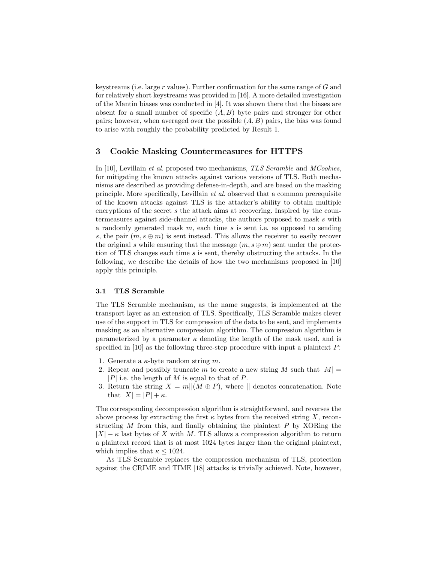keystreams (i.e. large  $r$  values). Further confirmation for the same range of  $G$  and for relatively short keystreams was provided in [16]. A more detailed investigation of the Mantin biases was conducted in [4]. It was shown there that the biases are absent for a small number of specific  $(A, B)$  byte pairs and stronger for other pairs; however, when averaged over the possible  $(A, B)$  pairs, the bias was found to arise with roughly the probability predicted by Result 1.

## 3 Cookie Masking Countermeasures for HTTPS

In [10], Levillain *et al.* proposed two mechanisms, TLS Scramble and MCookies, for mitigating the known attacks against various versions of TLS. Both mechanisms are described as providing defense-in-depth, and are based on the masking principle. More specifically, Levillain et al. observed that a common prerequisite of the known attacks against TLS is the attacker's ability to obtain multiple encryptions of the secret s the attack aims at recovering. Inspired by the countermeasures against side-channel attacks, the authors proposed to mask s with a randomly generated mask  $m$ , each time s is sent i.e. as opposed to sending s, the pair  $(m, s \oplus m)$  is sent instead. This allows the receiver to easily recover the original s while ensuring that the message  $(m, s \oplus m)$  sent under the protection of TLS changes each time  $s$  is sent, thereby obstructing the attacks. In the following, we describe the details of how the two mechanisms proposed in [10] apply this principle.

#### 3.1 TLS Scramble

The TLS Scramble mechanism, as the name suggests, is implemented at the transport layer as an extension of TLS. Specifically, TLS Scramble makes clever use of the support in TLS for compression of the data to be sent, and implements masking as an alternative compression algorithm. The compression algorithm is parameterized by a parameter  $\kappa$  denoting the length of the mask used, and is specified in  $[10]$  as the following three-step procedure with input a plaintext  $P$ :

- 1. Generate a  $\kappa$ -byte random string m.
- 2. Repeat and possibly truncate m to create a new string M such that  $|M| =$  $|P|$  i.e. the length of M is equal to that of P.
- 3. Return the string  $X = m||(M \oplus P)$ , where  $||$  denotes concatenation. Note that  $|X| = |P| + \kappa$ .

The corresponding decompression algorithm is straightforward, and reverses the above process by extracting the first  $\kappa$  bytes from the received string X, reconstructing  $M$  from this, and finally obtaining the plaintext  $P$  by XORing the  $|X| - \kappa$  last bytes of X with M. TLS allows a compression algorithm to return a plaintext record that is at most 1024 bytes larger than the original plaintext, which implies that  $\kappa \leq 1024$ .

As TLS Scramble replaces the compression mechanism of TLS, protection against the CRIME and TIME [18] attacks is trivially achieved. Note, however,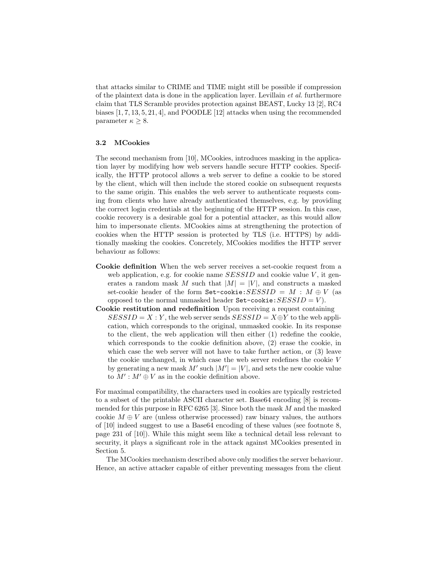that attacks similar to CRIME and TIME might still be possible if compression of the plaintext data is done in the application layer. Levillain et al. furthermore claim that TLS Scramble provides protection against BEAST, Lucky 13 [2], RC4 biases [1, 7, 13, 5, 21, 4], and POODLE [12] attacks when using the recommended parameter  $\kappa \geq 8$ .

#### 3.2 MCookies

The second mechanism from [10], MCookies, introduces masking in the application layer by modifying how web servers handle secure HTTP cookies. Specifically, the HTTP protocol allows a web server to define a cookie to be stored by the client, which will then include the stored cookie on subsequent requests to the same origin. This enables the web server to authenticate requests coming from clients who have already authenticated themselves, e.g. by providing the correct login credentials at the beginning of the HTTP session. In this case, cookie recovery is a desirable goal for a potential attacker, as this would allow him to impersonate clients. MCookies aims at strengthening the protection of cookies when the HTTP session is protected by TLS (i.e. HTTPS) by additionally masking the cookies. Concretely, MCookies modifies the HTTP server behaviour as follows:

- Cookie definition When the web server receives a set-cookie request from a web application, e.g. for cookie name  $SESSID$  and cookie value V, it generates a random mask M such that  $|M| = |V|$ , and constructs a masked set-cookie header of the form  $Set-cookie:SESSID = M : M \oplus V$  (as opposed to the normal unmasked header  $Set-cookie:SESSID = V$ .
- Cookie restitution and redefinition Upon receiving a request containing  $SESSID = X : Y$ , the web server sends  $SESSID = X \oplus Y$  to the web application, which corresponds to the original, unmasked cookie. In its response to the client, the web application will then either (1) redefine the cookie, which corresponds to the cookie definition above, (2) erase the cookie, in which case the web server will not have to take further action, or (3) leave the cookie unchanged, in which case the web server redefines the cookie V by generating a new mask  $M'$  such  $|M'| = |V|$ , and sets the new cookie value to  $M'$ :  $M' \oplus V$  as in the cookie definition above.

For maximal compatibility, the characters used in cookies are typically restricted to a subset of the printable ASCII character set. Base64 encoding [8] is recommended for this purpose in RFC 6265 [3]. Since both the mask  $M$  and the masked cookie  $M \oplus V$  are (unless otherwise processed) raw binary values, the authors of [10] indeed suggest to use a Base64 encoding of these values (see footnote 8, page 231 of [10]). While this might seem like a technical detail less relevant to security, it plays a significant role in the attack against MCookies presented in Section 5.

The MCookies mechanism described above only modifies the server behaviour. Hence, an active attacker capable of either preventing messages from the client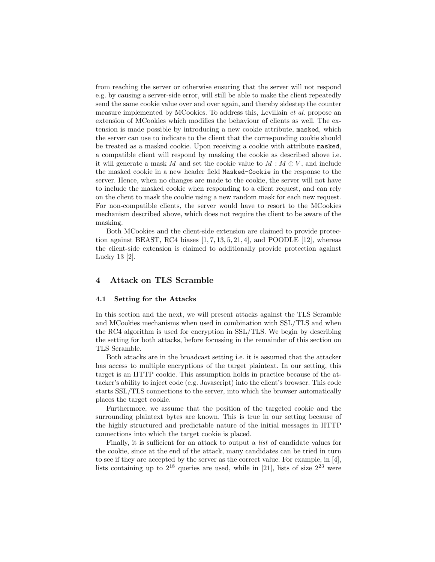from reaching the server or otherwise ensuring that the server will not respond e.g. by causing a server-side error, will still be able to make the client repeatedly send the same cookie value over and over again, and thereby sidestep the counter measure implemented by MCookies. To address this, Levillain et al. propose an extension of MCookies which modifies the behaviour of clients as well. The extension is made possible by introducing a new cookie attribute, masked, which the server can use to indicate to the client that the corresponding cookie should be treated as a masked cookie. Upon receiving a cookie with attribute masked, a compatible client will respond by masking the cookie as described above i.e. it will generate a mask M and set the cookie value to  $M : M \oplus V$ , and include the masked cookie in a new header field Masked-Cookie in the response to the server. Hence, when no changes are made to the cookie, the server will not have to include the masked cookie when responding to a client request, and can rely on the client to mask the cookie using a new random mask for each new request. For non-compatible clients, the server would have to resort to the MCookies mechanism described above, which does not require the client to be aware of the masking.

Both MCookies and the client-side extension are claimed to provide protection against BEAST, RC4 biases  $[1, 7, 13, 5, 21, 4]$ , and POODLE  $[12]$ , whereas the client-side extension is claimed to additionally provide protection against Lucky 13 [2].

## 4 Attack on TLS Scramble

#### 4.1 Setting for the Attacks

In this section and the next, we will present attacks against the TLS Scramble and MCookies mechanisms when used in combination with SSL/TLS and when the RC4 algorithm is used for encryption in SSL/TLS. We begin by describing the setting for both attacks, before focussing in the remainder of this section on TLS Scramble.

Both attacks are in the broadcast setting i.e. it is assumed that the attacker has access to multiple encryptions of the target plaintext. In our setting, this target is an HTTP cookie. This assumption holds in practice because of the attacker's ability to inject code (e.g. Javascript) into the client's browser. This code starts SSL/TLS connections to the server, into which the browser automatically places the target cookie.

Furthermore, we assume that the position of the targeted cookie and the surrounding plaintext bytes are known. This is true in our setting because of the highly structured and predictable nature of the initial messages in HTTP connections into which the target cookie is placed.

Finally, it is sufficient for an attack to output a list of candidate values for the cookie, since at the end of the attack, many candidates can be tried in turn to see if they are accepted by the server as the correct value. For example, in [4], lists containing up to  $2^{18}$  queries are used, while in [21], lists of size  $2^{23}$  were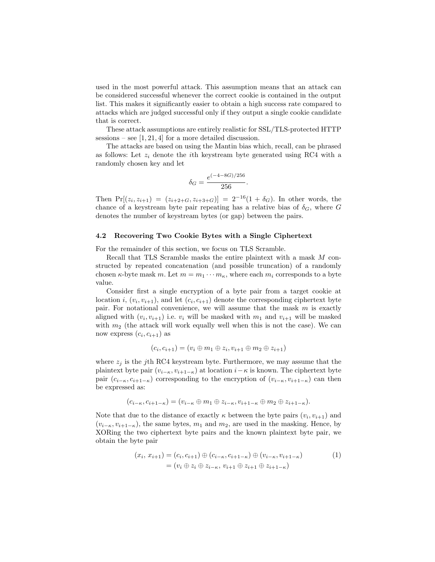used in the most powerful attack. This assumption means that an attack can be considered successful whenever the correct cookie is contained in the output list. This makes it significantly easier to obtain a high success rate compared to attacks which are judged successful only if they output a single cookie candidate that is correct.

These attack assumptions are entirely realistic for SSL/TLS-protected HTTP sessions – see  $[1, 21, 4]$  for a more detailed discussion.

The attacks are based on using the Mantin bias which, recall, can be phrased as follows: Let  $z_i$  denote the *i*th keystream byte generated using RC4 with a randomly chosen key and let

$$
\delta_G = \frac{e^{(-4-8G)/256}}{256}.
$$

Then  $Pr[(z_i, z_{i+1}) = (z_{i+2+G}, z_{i+3+G})] = 2^{-16}(1 + \delta_G)$ . In other words, the chance of a keystream byte pair repeating has a relative bias of  $\delta_G$ , where G denotes the number of keystream bytes (or gap) between the pairs.

#### 4.2 Recovering Two Cookie Bytes with a Single Ciphertext

For the remainder of this section, we focus on TLS Scramble.

Recall that TLS Scramble masks the entire plaintext with a mask M constructed by repeated concatenation (and possible truncation) of a randomly chosen  $\kappa$ -byte mask m. Let  $m = m_1 \cdots m_\kappa$ , where each  $m_i$  corresponds to a byte value.

Consider first a single encryption of a byte pair from a target cookie at location *i*,  $(v_i, v_{i+1})$ , and let  $(c_i, c_{i+1})$  denote the corresponding ciphertext byte pair. For notational convenience, we will assume that the mask  $m$  is exactly aligned with  $(v_i, v_{i+1})$  i.e.  $v_i$  will be masked with  $m_1$  and  $v_{i+1}$  will be masked with  $m_2$  (the attack will work equally well when this is not the case). We can now express  $(c_i, c_{i+1})$  as

$$
(c_i, c_{i+1}) = (v_i \oplus m_1 \oplus z_i, v_{i+1} \oplus m_2 \oplus z_{i+1})
$$

where  $z_j$  is the j<sup>th</sup> RC4 keystream byte. Furthermore, we may assume that the plaintext byte pair  $(v_{i-\kappa}, v_{i+1-\kappa})$  at location  $i-\kappa$  is known. The ciphertext byte pair  $(c_{i-\kappa}, c_{i+1-\kappa})$  corresponding to the encryption of  $(v_{i-\kappa}, v_{i+1-\kappa})$  can then be expressed as:

$$
(c_{i-\kappa},c_{i+1-\kappa})=(v_{i-\kappa}\oplus m_1\oplus z_{i-\kappa},v_{i+1-\kappa}\oplus m_2\oplus z_{i+1-\kappa}).
$$

Note that due to the distance of exactly  $\kappa$  between the byte pairs  $(v_i, v_{i+1})$  and  $(v_{i-\kappa}, v_{i+1-\kappa})$ , the same bytes,  $m_1$  and  $m_2$ , are used in the masking. Hence, by XORing the two ciphertext byte pairs and the known plaintext byte pair, we obtain the byte pair

$$
(x_i, x_{i+1}) = (c_i, c_{i+1}) \oplus (c_{i-\kappa}, c_{i+1-\kappa}) \oplus (v_{i-\kappa}, v_{i+1-\kappa})
$$
  
= 
$$
(v_i \oplus z_i \oplus z_{i-\kappa}, v_{i+1} \oplus z_{i+1} \oplus z_{i+1-\kappa})
$$
 (1)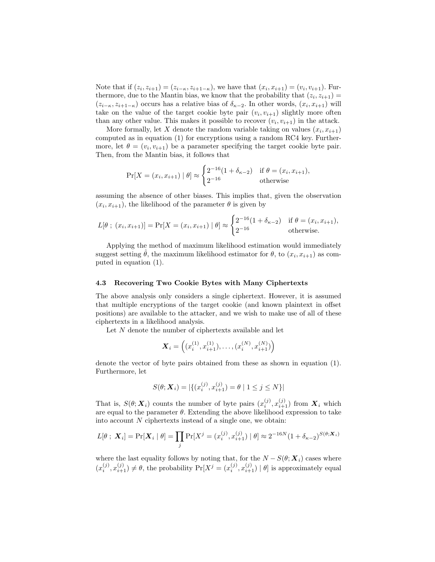Note that if  $(z_i, z_{i+1}) = (z_{i-\kappa}, z_{i+1-\kappa})$ , we have that  $(x_i, x_{i+1}) = (v_i, v_{i+1})$ . Furthermore, due to the Mantin bias, we know that the probability that  $(z_i, z_{i+1}) =$  $(z_{i-\kappa}, z_{i+1-\kappa})$  occurs has a relative bias of  $\delta_{\kappa-2}$ . In other words,  $(x_i, x_{i+1})$  will take on the value of the target cookie byte pair  $(v_i, v_{i+1})$  slightly more often than any other value. This makes it possible to recover  $(v_i, v_{i+1})$  in the attack.

More formally, let X denote the random variable taking on values  $(x_i, x_{i+1})$ computed as in equation (1) for encryptions using a random RC4 key. Furthermore, let  $\theta = (v_i, v_{i+1})$  be a parameter specifying the target cookie byte pair. Then, from the Mantin bias, it follows that

$$
\Pr[X = (x_i, x_{i+1}) | \theta] \approx \begin{cases} 2^{-16} (1 + \delta_{\kappa - 2}) & \text{if } \theta = (x_i, x_{i+1}), \\ 2^{-16} & \text{otherwise} \end{cases}
$$

assuming the absence of other biases. This implies that, given the observation  $(x_i, x_{i+1})$ , the likelihood of the parameter  $\theta$  is given by

$$
L[\theta \; ; \; (x_i, x_{i+1})] = \Pr[X = (x_i, x_{i+1}) \; | \; \theta] \approx \begin{cases} 2^{-16} (1 + \delta_{\kappa - 2}) & \text{if } \theta = (x_i, x_{i+1}), \\ 2^{-16} & \text{otherwise.} \end{cases}
$$

Applying the method of maximum likelihood estimation would immediately suggest setting  $\hat{\theta}$ , the maximum likelihood estimator for  $\theta$ , to  $(x_i, x_{i+1})$  as computed in equation (1).

#### 4.3 Recovering Two Cookie Bytes with Many Ciphertexts

The above analysis only considers a single ciphertext. However, it is assumed that multiple encryptions of the target cookie (and known plaintext in offset positions) are available to the attacker, and we wish to make use of all of these ciphertexts in a likelihood analysis.

Let  $N$  denote the number of ciphertexts available and let  $% \mathcal{N}$ 

$$
\boldsymbol{X}_i = \left( (x_i^{(1)}, x_{i+1}^{(1)}), \dots, (x_i^{(N)}, x_{i+1}^{(N)}) \right)
$$

denote the vector of byte pairs obtained from these as shown in equation (1). Furthermore, let

$$
S(\theta; \mathbf{X}_i) = |\{ (x_i^{(j)}, x_{i+1}^{(j)}) = \theta \mid 1 \le j \le N \}|
$$

That is,  $S(\theta; X_i)$  counts the number of byte pairs  $(x_i^{(j)}, x_{i+1}^{(j)})$  from  $X_i$  which are equal to the parameter  $\theta$ . Extending the above likelihood expression to take into account  $N$  ciphertexts instead of a single one, we obtain:

$$
L[\theta \; ; \; \mathbf{X}_i] = \Pr[\mathbf{X}_i \; | \; \theta] = \prod_j \Pr[X^j = (x_i^{(j)}, x_{i+1}^{(j)}) \; | \; \theta] \approx 2^{-16N} (1 + \delta_{\kappa - 2})^{S(\theta; \mathbf{X}_i)}
$$

where the last equality follows by noting that, for the  $N - S(\theta; \mathbf{X}_i)$  cases where  $(x_i^{(j)}, x_{i+1}^{(j)}) \neq \theta$ , the probability  $\Pr[X^j = (x_i^{(j)}, x_{i+1}^{(j)}) | \theta]$  is approximately equal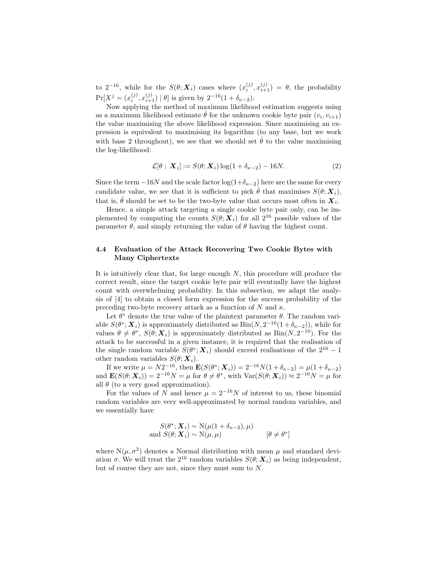to  $2^{-16}$ , while for the  $S(\theta; \boldsymbol{X}_i)$  cases where  $(x_i^{(j)}, x_{i+1}^{(j)}) = \theta$ , the probability  $Pr[X^j = (x_i^{(j)}, x_{i+1}^{(j)}) | \theta]$  is given by  $2^{-16}(1 + \delta_{\kappa-2})$ .

Now applying the method of maximum likelihood estimation suggests using as a maximum likelihood estimate  $\hat{\theta}$  for the unknown cookie byte pair  $(v_i, v_{i+1})$ the value maximising the above likelihood expression. Since maximising an expression is equivalent to maximising its logarithm (to any base, but we work with base 2 throughout), we see that we should set  $\hat{\theta}$  to the value maximising the log-likelihood:

$$
\mathcal{L}[\theta \; ; \; \mathbf{X}_i] := S(\theta; \mathbf{X}_i) \log(1 + \delta_{\kappa - 2}) - 16N. \tag{2}
$$

Since the term  $-16N$  and the scale factor  $\log(1+\delta_{\kappa-2})$  here are the same for every candidate value, we see that it is sufficient to pick  $\hat{\theta}$  that maximises  $S(\theta; \mathbf{X}_i)$ , that is,  $\hat{\theta}$  should be set to be the two-byte value that occurs most often in  $\boldsymbol{X}_i$ .

Hence, a simple attack targeting a single cookie byte pair only, can be implemented by computing the counts  $S(\theta; X_i)$  for all  $2^{16}$  possible values of the parameter  $\theta$ , and simply returning the value of  $\theta$  having the highest count.

## 4.4 Evaluation of the Attack Recovering Two Cookie Bytes with Many Ciphertexts

It is intuitively clear that, for large enough  $N$ , this procedure will produce the correct result, since the target cookie byte pair will eventually have the highest count with overwhelming probability. In this subsection, we adapt the analysis of [4] to obtain a closed form expression for the success probability of the preceding two-byte recovery attack as a function of N and  $\kappa$ .

Let  $\theta^*$  denote the true value of the plaintext parameter  $\theta$ . The random variable  $S(\theta^*; \mathbf{X}_i)$  is approximately distributed as  $Bin(N, 2^{-16}(1+\delta_{\kappa-2}))$ , while for values  $\theta \neq \theta^*$ ,  $S(\theta; \mathbf{X}_i)$  is approximately distributed as  $\text{Bin}(N, 2^{-16})$ . For the attack to be successful in a given instance, it is required that the realisation of the single random variable  $S(\theta^*; X_i)$  should exceed realisations of the  $2^{16} - 1$ other random variables  $S(\theta; \boldsymbol{X}_i)$ .

If we write  $\mu = N2^{-16}$ , then  $\mathbf{E}(S(\theta^*; \mathbf{X}_i)) = 2^{-16}N(1 + \delta_{\kappa-2}) = \mu(1 + \delta_{\kappa-2})$ and  $\mathbf{E}(S(\theta; \boldsymbol{X}_i)) = 2^{-16}N = \mu$  for  $\theta \neq \theta^*$ , with  $\text{Var}(S(\theta; \boldsymbol{X}_i)) \approx 2^{-16}N = \mu$  for all  $\theta$  (to a very good approximation).

For the values of N and hence  $\mu = 2^{-16}N$  of interest to us, these binomial random variables are very well-approximated by normal random variables, and we essentially have

$$
S(\theta^*; \mathbf{X}_i) \sim \mathcal{N}(\mu(1 + \delta_{\kappa - 2}), \mu)
$$
  
and 
$$
S(\theta; \mathbf{X}_i) \sim \mathcal{N}(\mu, \mu) \qquad [\theta \neq \theta^*]
$$

where  $N(\mu, \sigma^2)$  denotes a Normal distribution with mean  $\mu$  and standard deviation  $\sigma$ . We will treat the  $2^{16}$  random variables  $S(\theta; X_i)$  as being independent, but of course they are not, since they must sum to N.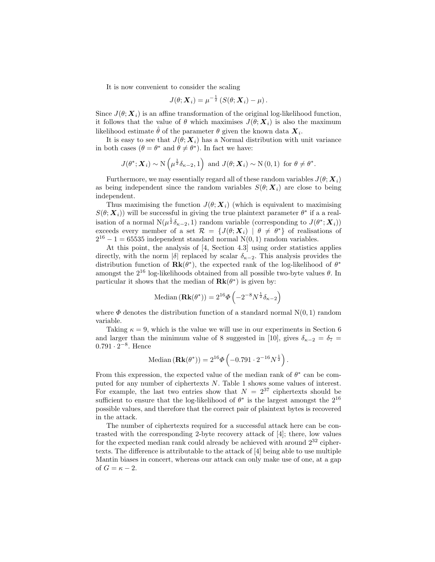It is now convenient to consider the scaling

$$
J(\theta; \boldsymbol{X}_i) = \mu^{-\frac{1}{2}} \left( S(\theta; \boldsymbol{X}_i) - \mu \right).
$$

Since  $J(\theta; \mathbf{X}_i)$  is an affine transformation of the original log-likelihood function, it follows that the value of  $\theta$  which maximises  $J(\theta; \mathbf{X}_i)$  is also the maximum likelihood estimate  $\hat{\theta}$  of the parameter  $\theta$  given the known data  $\boldsymbol{X}_i$ .

It is easy to see that  $J(\theta; \mathbf{X}_i)$  has a Normal distribution with unit variance in both cases  $(\theta = \theta^*)$  and  $\theta \neq \theta^*$ ). In fact we have:

$$
J(\theta^*; \mathbf{X}_i) \sim \mathbb{N}\left(\mu^{\frac{1}{2}}\delta_{\kappa-2}, 1\right)
$$
 and  $J(\theta; \mathbf{X}_i) \sim \mathbb{N}(0, 1)$  for  $\theta \neq \theta^*$ .

Furthermore, we may essentially regard all of these random variables  $J(\theta; \mathbf{X}_i)$ as being independent since the random variables  $S(\theta; X_i)$  are close to being independent.

Thus maximising the function  $J(\theta; \mathbf{X}_i)$  (which is equivalent to maximising  $S(\theta; \mathbf{X}_i)$  will be successful in giving the true plaintext parameter  $\theta^*$  if a a realisation of a normal  $N(\mu^{\frac{1}{2}}\delta_{\kappa-2}, 1)$  random variable (corresponding to  $J(\theta^*; \mathbf{X}_i)$ ) exceeds every member of a set  $\mathcal{R} = \{J(\theta; \boldsymbol{X}_i) \mid \theta \neq \theta^*\}$  of realisations of  $2^{16} - 1 = 65535$  independent standard normal N(0, 1) random variables.

At this point, the analysis of [4, Section 4.3] using order statistics applies directly, with the norm |δ| replaced by scalar  $\delta_{\kappa-2}$ . This analysis provides the distribution function of  $\mathbf{Rk}(\theta^*)$ , the expected rank of the log-likelihood of  $\theta^*$ amongst the  $2^{16}$  log-likelihoods obtained from all possible two-byte values  $\theta$ . In particular it shows that the median of  $\mathbf{Rk}(\theta^*)$  is given by:

Median 
$$
(\mathbf{Rk}(\theta^*)) = 2^{16}\Phi\left(-2^{-8}N^{\frac{1}{2}}\delta_{\kappa-2}\right)
$$

where  $\Phi$  denotes the distribution function of a standard normal  $N(0, 1)$  random variable.

Taking  $\kappa = 9$ , which is the value we will use in our experiments in Section 6 and larger than the minimum value of 8 suggested in [10], gives  $\delta_{\kappa-2} = \delta_7 =$  $0.791 \cdot 2^{-8}$ . Hence

Median 
$$
(\mathbf{Rk}(\theta^*)) = 2^{16}\Phi\left(-0.791 \cdot 2^{-16}N^{\frac{1}{2}}\right).
$$

From this expression, the expected value of the median rank of  $\theta^*$  can be computed for any number of ciphertexts N. Table 1 shows some values of interest. For example, the last two entries show that  $N = 2^{37}$  ciphertexts should be sufficient to ensure that the log-likelihood of  $\theta^*$  is the largest amongst the  $2^{16}$ possible values, and therefore that the correct pair of plaintext bytes is recovered in the attack.

The number of ciphertexts required for a successful attack here can be contrasted with the corresponding 2-byte recovery attack of [4]; there, low values for the expected median rank could already be achieved with around  $2^{32}$  ciphertexts. The difference is attributable to the attack of [4] being able to use multiple Mantin biases in concert, whereas our attack can only make use of one, at a gap of  $G = \kappa - 2$ .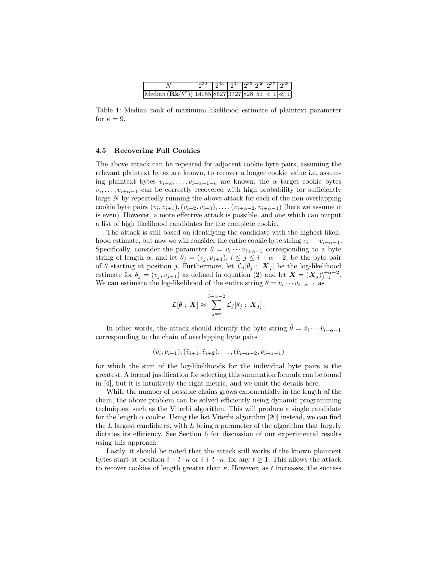|                                                                   | $\sqrt{2^{32} \mid 2^{33} \mid 2^{34} \mid 2^{35} \mid 2^{36} \mid 2^{37} \mid 2^{38} \mid}$ |  |  |  |
|-------------------------------------------------------------------|----------------------------------------------------------------------------------------------|--|--|--|
| Median $(\mathbf{Rk}(\theta^*)) 14055 8627 3727 828 51 <1  \ll 1$ |                                                                                              |  |  |  |

Table 1: Median rank of maximum likelihood estimate of plaintext parameter for  $\kappa = 9$ .

#### 4.5 Recovering Full Cookies

The above attack can be repeated for adjacent cookie byte pairs, assuming the relevant plaintext bytes are known, to recover a longer cookie value i.e. assuming plaintext bytes  $v_{i-\kappa}, \ldots, v_{i+\alpha-1-\kappa}$  are known, the  $\alpha$  target cookie bytes  $v_i, \ldots, v_{i+\alpha-1}$  can be correctly recovered with high probability for sufficiently large N by repeatedly running the above attack for each of the non-overlapping cookie byte pairs  $(v_i, v_{i+1}), (v_{i+2}, v_{i+3}), \ldots, (v_{i+\alpha-2}, v_{i+\alpha-1})$  (here we assume  $\alpha$ is even). However, a more effective attack is possible, and one which can output a list of high likelihood candidates for the complete cookie.

The attack is still based on identifying the candidate with the highest likelihood estimate, but now we will consider the entire cookie byte string  $v_i \cdots v_{i+\alpha-1}$ . Specifically, consider the parameter  $\theta = v_i \cdots v_{i+\alpha-1}$  corresponding to a byte string of length  $\alpha$ , and let  $\theta_j = (v_j, v_{j+1}), i \leq j \leq i + \alpha - 2$ , be the byte pair of  $\theta$  starting at position j. Furthermore, let  $\mathcal{L}_j[\theta_j; \mathbf{X}_j]$  be the log-likelihood estimate for  $\theta_j = (v_j, v_{j+1})$  as defined in equation (2) and let  $\mathbf{X} = (\mathbf{X}_j)_{j=i}^{i+\alpha-2}$ . We can estimate the log-likelihood of the entire string  $\theta = v_i \cdots v_{i+\alpha-1}$  as

$$
\mathcal{L}[\theta \; ; \; \boldsymbol{X}] \approx \sum_{j=i}^{i+\alpha-2} \mathcal{L}_j[\theta_j \; ; \; \boldsymbol{X}_j] \, .
$$

In other words, the attack should identify the byte string  $\hat{\theta} = \hat{v}_i \cdots \hat{v}_{i+\alpha-1}$ corresponding to the chain of overlapping byte pairs

$$
(\hat{v}_i, \hat{v}_{i+1}), (\hat{v}_{i+1}, \hat{v}_{i+2}), \ldots, (\hat{v}_{i+\alpha-2}, \hat{v}_{i+\alpha-1})
$$

for which the sum of the log-likelihoods for the individual byte pairs is the greatest. A formal justification for selecting this summation formula can be found in [4], but it is intuitively the right metric, and we omit the details here.

While the number of possible chains grows exponentially in the length of the chain, the above problem can be solved efficiently using dynamic programming techniques, such as the Viterbi algorithm. This will produce a single candidate for the length  $\alpha$  cookie. Using the list Viterbi algorithm [20] instead, we can find the  $L$  largest candidates, with  $L$  being a parameter of the algorithm that largely dictates its efficiency. See Section 6 for discussion of our experimental results using this approach.

Lastly, it should be noted that the attack still works if the known plaintext bytes start at position  $i - t \cdot \kappa$  or  $i + t \cdot \kappa$ , for any  $t \ge 1$ . This allows the attack to recover cookies of length greater than  $\kappa$ . However, as t increases, the success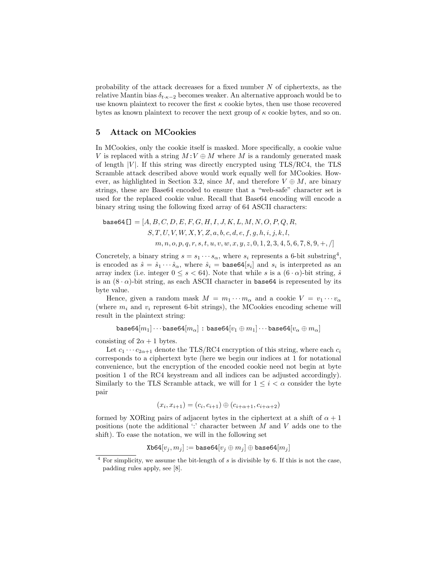probability of the attack decreases for a fixed number N of ciphertexts, as the relative Mantin bias  $\delta_{t\cdot\kappa-2}$  becomes weaker. An alternative approach would be to use known plaintext to recover the first  $\kappa$  cookie bytes, then use those recovered bytes as known plaintext to recover the next group of  $\kappa$  cookie bytes, and so on.

## 5 Attack on MCookies

In MCookies, only the cookie itself is masked. More specifically, a cookie value V is replaced with a string  $M:V\oplus M$  where M is a randomly generated mask of length  $|V|$ . If this string was directly encrypted using TLS/RC4, the TLS Scramble attack described above would work equally well for MCookies. However, as highlighted in Section 3.2, since M, and therefore  $V \oplus M$ , are binary strings, these are Base64 encoded to ensure that a "web-safe" character set is used for the replaced cookie value. Recall that Base64 encoding will encode a binary string using the following fixed array of 64 ASCII characters:

base64[]
$$
= [A, B, C, D, E, F, G, H, I, J, K, L, M, N, O, P, Q, R, S, T, U, V, W, X, Y, Z, a, b, c, d, e, f, g, h, i, j, k, l, m, n, o, p, q, r, s, t, u, v, w, x, y, z, 0, 1, 2, 3, 4, 5, 6, 7, 8, 9, +, /]
$$

Concretely, a binary string  $s = s_1 \cdots s_\alpha$ , where  $s_i$  represents a 6-bit substring<sup>4</sup>, is encoded as  $\hat{s} = \hat{s}_1 \cdots \hat{s}_\alpha$ , where  $\hat{s}_i = \text{base64}[s_i]$  and  $s_i$  is interpreted as an array index (i.e. integer  $0 \leq s < 64$ ). Note that while s is a  $(6 \cdot \alpha)$ -bit string,  $\hat{s}$ is an  $(8 \cdot \alpha)$ -bit string, as each ASCII character in base64 is represented by its byte value.

Hence, given a random mask  $M = m_1 \cdots m_\alpha$  and a cookie  $V = v_1 \cdots v_\alpha$ (where  $m_i$  and  $v_i$  represent 6-bit strings), the MCookies encoding scheme will result in the plaintext string:

base64 $[m_1] \cdots$ base64 $[m_\alpha]$ : base64 $[v_1 \oplus m_1] \cdots$ base64 $[v_\alpha \oplus m_\alpha]$ 

consisting of  $2\alpha + 1$  bytes.

Let  $c_1 \cdots c_{2\alpha+1}$  denote the TLS/RC4 encryption of this string, where each  $c_i$ corresponds to a ciphertext byte (here we begin our indices at 1 for notational convenience, but the encryption of the encoded cookie need not begin at byte position 1 of the RC4 keystream and all indices can be adjusted accordingly). Similarly to the TLS Scramble attack, we will for  $1 \leq i \leq \alpha$  consider the byte pair

$$
(x_i, x_{i+1}) = (c_i, c_{i+1}) \oplus (c_{i+\alpha+1}, c_{i+\alpha+2})
$$

formed by XORing pairs of adjacent bytes in the ciphertext at a shift of  $\alpha + 1$ positions (note the additional  $\cdot$ : character between M and V adds one to the shift). To ease the notation, we will in the following set

 $Xb64[v_i, m_j] := base64[v_i \oplus m_j] \oplus base64[m_j]$ 

 $4$  For simplicity, we assume the bit-length of s is divisible by 6. If this is not the case, padding rules apply, see [8].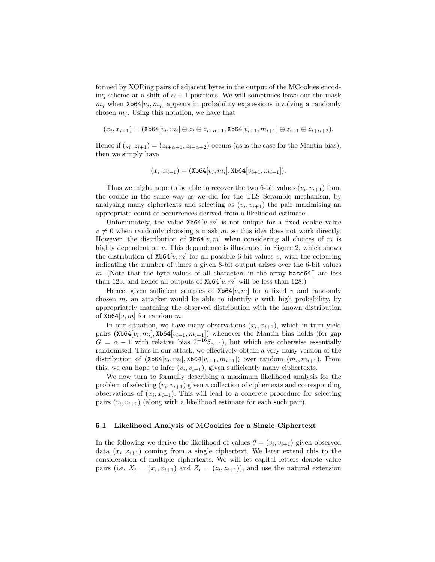formed by XORing pairs of adjacent bytes in the output of the MCookies encoding scheme at a shift of  $\alpha + 1$  positions. We will sometimes leave out the mask  $m_i$  when Xb64 $[v_i, m_i]$  appears in probability expressions involving a randomly chosen  $m_j$ . Using this notation, we have that

$$
(x_i, x_{i+1}) = (\text{Xb64}[v_i, m_i] \oplus z_i \oplus z_{i+\alpha+1}, \text{Xb64}[v_{i+1}, m_{i+1}] \oplus z_{i+1} \oplus z_{i+\alpha+2}).
$$

Hence if  $(z_i, z_{i+1}) = (z_{i+\alpha+1}, z_{i+\alpha+2})$  occurs (as is the case for the Mantin bias), then we simply have

$$
(x_i, x_{i+1}) = (\texttt{Xb64}[v_i, m_i], \texttt{Xb64}[v_{i+1}, m_{i+1}]).
$$

Thus we might hope to be able to recover the two 6-bit values  $(v_i, v_{i+1})$  from the cookie in the same way as we did for the TLS Scramble mechanism, by analysing many ciphertexts and selecting as  $(v_i, v_{i+1})$  the pair maximising an appropriate count of occurrences derived from a likelihood estimate.

Unfortunately, the value  $\texttt{Xb64}[v, m]$  is not unique for a fixed cookie value  $v \neq 0$  when randomly choosing a mask m, so this idea does not work directly. However, the distribution of  $\texttt{Xb64}[v, m]$  when considering all choices of m is highly dependent on  $v$ . This dependence is illustrated in Figure 2, which shows the distribution of  $\text{Xb64}[v, m]$  for all possible 6-bit values v, with the colouring indicating the number of times a given 8-bit output arises over the 6-bit values m. (Note that the byte values of all characters in the array base  $64$ ] are less than 123, and hence all outputs of  $\texttt{Xb64}[v, m]$  will be less than 128.)

Hence, given sufficient samples of  $\texttt{Xb64}[v, m]$  for a fixed v and randomly chosen  $m$ , an attacker would be able to identify v with high probability, by appropriately matching the observed distribution with the known distribution of  $Xb64[v, m]$  for random m.

In our situation, we have many observations  $(x_i, x_{i+1})$ , which in turn yield pairs  $(Xb64[v_i, m_i], Xb64[v_{i+1}, m_{i+1}])$  whenever the Mantin bias holds (for gap  $G = \alpha - 1$  with relative bias  $2^{-16}\delta_{\alpha-1}$ , but which are otherwise essentially randomised. Thus in our attack, we effectively obtain a very noisy version of the distribution of  $(Xb64[v_i, m_i], Xb64[v_{i+1}, m_{i+1}])$  over random  $(m_i, m_{i+1})$ . From this, we can hope to infer  $(v_i, v_{i+1})$ , given sufficiently many ciphertexts.

We now turn to formally describing a maximum likelihood analysis for the problem of selecting  $(v_i, v_{i+1})$  given a collection of ciphertexts and corresponding observations of  $(x_i, x_{i+1})$ . This will lead to a concrete procedure for selecting pairs  $(v_i, v_{i+1})$  (along with a likelihood estimate for each such pair).

#### 5.1 Likelihood Analysis of MCookies for a Single Ciphertext

In the following we derive the likelihood of values  $\theta = (v_i, v_{i+1})$  given observed data  $(x_i, x_{i+1})$  coming from a single ciphertext. We later extend this to the consideration of multiple ciphertexts. We will let capital letters denote value pairs (i.e.  $X_i = (x_i, x_{i+1})$  and  $Z_i = (z_i, z_{i+1})$ ), and use the natural extension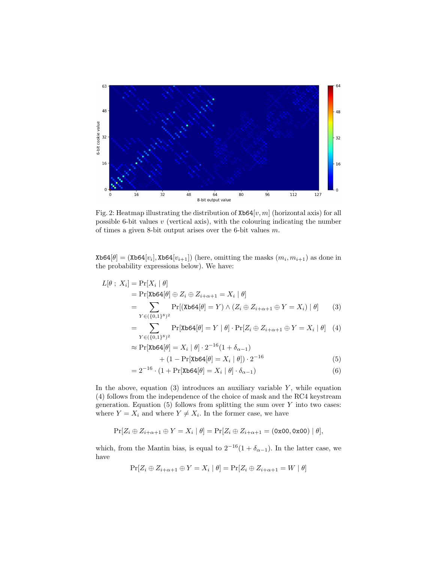

Fig. 2: Heatmap illustrating the distribution of  $\texttt{Xb64}[v, m]$  (horizontal axis) for all possible 6-bit values  $v$  (vertical axis), with the colouring indicating the number of times a given 8-bit output arises over the 6-bit values m.

 $\texttt{Xb64}[\theta] = (\texttt{Xb64}[v_i], \texttt{Xb64}[v_{i+1}])$  (here, omitting the masks  $(m_i, m_{i+1})$  as done in the probability expressions below). We have:

$$
L[\theta \, ; \, X_i] = \Pr[X_i \mid \theta]
$$
  
\n
$$
= \Pr[\text{Xb64}[\theta] \oplus Z_i \oplus Z_{i+\alpha+1} = X_i \mid \theta]
$$
  
\n
$$
= \sum_{Y \in (\{0,1\}^8)^2} \Pr[(\text{Xb64}[\theta] = Y) \land (Z_i \oplus Z_{i+\alpha+1} \oplus Y = X_i) \mid \theta] \qquad (3)
$$
  
\n
$$
= \sum_{Y \in (\{0,1\}^8)^2} \Pr[\text{Xb64}[\theta] = Y \mid \theta] \cdot \Pr[Z_i \oplus Z_{i+\alpha+1} \oplus Y = X_i \mid \theta] \quad (4)
$$
  
\n
$$
\approx \Pr[\text{Xb64}[\theta] = X_i \mid \theta] \cdot 2^{-16} (1 + \delta_{\alpha-1})
$$
  
\n
$$
+ (1 - \Pr[\text{Xb64}[\theta] = X_i \mid \theta]) \cdot 2^{-16}
$$
  
\n
$$
= 2^{-16} \cdot (1 + \Pr[\text{Yb64}[\theta] = X_i \mid \theta] \cdot \delta_{\alpha-1}) \qquad (6)
$$

$$
=2^{-16} \cdot (1 + \Pr[\text{Xb64}[\theta] = X_i \mid \theta] \cdot \delta_{\alpha - 1})
$$
\n(6)

In the above, equation  $(3)$  introduces an auxiliary variable Y, while equation (4) follows from the independence of the choice of mask and the RC4 keystream generation. Equation  $(5)$  follows from splitting the sum over Y into two cases: where  $Y = X_i$  and where  $Y \neq X_i$ . In the former case, we have

$$
\Pr[Z_i \oplus Z_{i+\alpha+1} \oplus Y = X_i \mid \theta] = \Pr[Z_i \oplus Z_{i+\alpha+1} = (\text{0x00}, \text{0x00}) \mid \theta],
$$

which, from the Mantin bias, is equal to  $2^{-16}(1 + \delta_{\alpha-1})$ . In the latter case, we have

$$
\Pr[Z_i \oplus Z_{i+\alpha+1} \oplus Y = X_i \mid \theta] = \Pr[Z_i \oplus Z_{i+\alpha+1} = W \mid \theta]
$$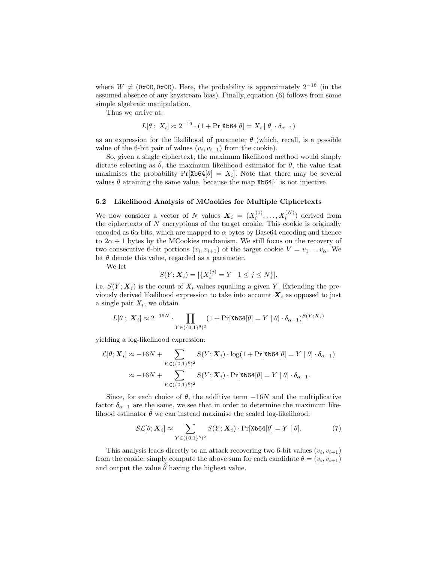where  $W \neq (0x00, 0x00)$ . Here, the probability is approximately 2<sup>-16</sup> (in the assumed absence of any keystream bias). Finally, equation (6) follows from some simple algebraic manipulation.

Thus we arrive at:

$$
L[\theta \; ; \; X_i] \approx 2^{-16} \cdot (1 + \Pr[\text{Xb64}[\theta] = X_i \mid \theta] \cdot \delta_{\alpha - 1})
$$

as an expression for the likelihood of parameter  $\theta$  (which, recall, is a possible value of the 6-bit pair of values  $(v_i, v_{i+1})$  from the cookie).

So, given a single ciphertext, the maximum likelihood method would simply dictate selecting as  $\theta$ , the maximum likelihood estimator for  $\theta$ , the value that maximises the probability  $Pr[Xb64[\theta] = X_i]$ . Note that there may be several values  $\theta$  attaining the same value, because the map Xb64 $[\cdot]$  is not injective.

#### 5.2 Likelihood Analysis of MCookies for Multiple Ciphertexts

We now consider a vector of N values  $\boldsymbol{X}_i = (X_i^{(1)}, \dots, X_i^{(N)})$  derived from the ciphertexts of  $N$  encryptions of the target cookie. This cookie is originally encoded as  $6\alpha$  bits, which are mapped to  $\alpha$  bytes by Base64 encoding and thence to  $2\alpha + 1$  bytes by the MCookies mechanism. We still focus on the recovery of two consecutive 6-bit portions  $(v_i, v_{i+1})$  of the target cookie  $V = v_1 \dots v_\alpha$ . We let  $\theta$  denote this value, regarded as a parameter.

We let

$$
S(Y; \mathbf{X}_i) = |\{X_i^{(j)} = Y \mid 1 \le j \le N\}|,
$$

i.e.  $S(Y; X_i)$  is the count of  $X_i$  values equalling a given Y. Extending the previously derived likelihood expression to take into account  $\boldsymbol{X}_i$  as opposed to just a single pair  $X_i$ , we obtain

$$
L[\theta \; ; \; \mathbf{X}_i] \approx 2^{-16N} \cdot \prod_{Y \in \left(\{0,1\}^8\right)^2} (1 + \Pr[\texttt{Xb64}[\theta] = Y \mid \theta] \cdot \delta_{\alpha - 1})^{S(Y; \mathbf{X}_i)}
$$

yielding a log-likelihood expression:

$$
\mathcal{L}[\theta; \mathbf{X}_i] \approx -16N + \sum_{Y \in \left(\{0,1\}^8\right)^2} S(Y; \mathbf{X}_i) \cdot \log(1 + \Pr[\text{Xb64}[\theta] = Y \mid \theta] \cdot \delta_{\alpha - 1})
$$

$$
\approx -16N + \sum_{Y \in \left(\{0,1\}^8\right)^2} S(Y; \mathbf{X}_i) \cdot \Pr[\text{Xb64}[\theta] = Y \mid \theta] \cdot \delta_{\alpha - 1}.
$$

Since, for each choice of  $\theta$ , the additive term  $-16N$  and the multiplicative factor  $\delta_{\alpha-1}$  are the same, we see that in order to determine the maximum likelihood estimator  $\hat{\theta}$  we can instead maximise the scaled log-likelihood:

$$
\mathcal{SL}[\theta; \mathbf{X}_i] \approx \sum_{Y \in (\{0,1\}^8)^2} S(Y; \mathbf{X}_i) \cdot \Pr[\texttt{Xb64}[\theta] = Y | \theta]. \tag{7}
$$

This analysis leads directly to an attack recovering two 6-bit values  $(v_i, v_{i+1})$ from the cookie: simply compute the above sum for each candidate  $\theta = (v_i, v_{i+1})$ and output the value  $\hat{\theta}$  having the highest value.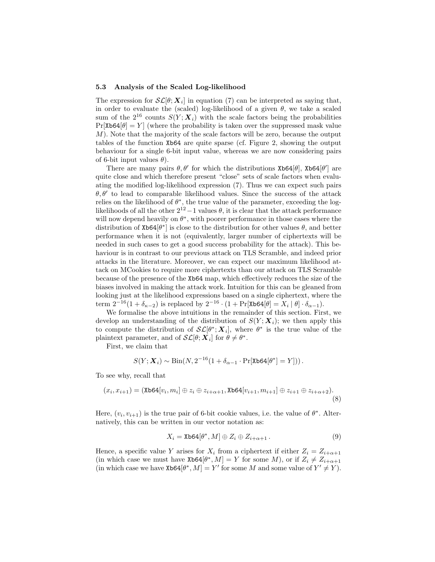#### 5.3 Analysis of the Scaled Log-likelihood

The expression for  $\mathcal{SL}[\theta; X_i]$  in equation (7) can be interpreted as saying that, in order to evaluate the (scaled) log-likelihood of a given  $\theta$ , we take a scaled sum of the  $2^{16}$  counts  $S(Y; X_i)$  with the scale factors being the probabilities  $Pr[Xb64|\theta] = Y$  (where the probability is taken over the suppressed mask value M). Note that the majority of the scale factors will be zero, because the output tables of the function Xb64 are quite sparse (cf. Figure 2, showing the output behaviour for a single 6-bit input value, whereas we are now considering pairs of 6-bit input values  $\theta$ ).

There are many pairs  $\theta$ ,  $\theta'$  for which the distributions Xb64[ $\theta$ ], Xb64[ $\theta'$ ] are quite close and which therefore present "close" sets of scale factors when evaluating the modified log-likelihood expression (7). Thus we can expect such pairs  $\theta$ ,  $\theta'$  to lead to comparable likelihood values. Since the success of the attack relies on the likelihood of  $\theta^*$ , the true value of the parameter, exceeding the loglikelihoods of all the other  $2^{12} - 1$  values  $\theta$ , it is clear that the attack performance will now depend heavily on  $\theta^*$ , with poorer performance in those cases where the distribution of  $\texttt{Xb64}[\theta^*]$  is close to the distribution for other values  $\theta$ , and better performance when it is not (equivalently, larger number of ciphertexts will be needed in such cases to get a good success probability for the attack). This behaviour is in contrast to our previous attack on TLS Scramble, and indeed prior attacks in the literature. Moreover, we can expect our maximum likelihood attack on MCookies to require more ciphertexts than our attack on TLS Scramble because of the presence of the Xb64 map, which effectively reduces the size of the biases involved in making the attack work. Intuition for this can be gleaned from looking just at the likelihood expressions based on a single ciphertext, where the term  $2^{-16}(1+\delta_{\kappa-2})$  is replaced by  $2^{-16} \cdot (1+\Pr[\text{Xb64}[\theta] = X_i | \theta] \cdot \delta_{\alpha-1}).$ 

We formalise the above intuitions in the remainder of this section. First, we develop an understanding of the distribution of  $S(Y; X<sub>i</sub>)$ ; we then apply this to compute the distribution of  $\mathcal{SL}[\theta^*; X_i]$ , where  $\theta^*$  is the true value of the plaintext parameter, and of  $\mathcal{SL}[\theta; \mathbf{X}_i]$  for  $\theta \neq \theta^*$ .

First, we claim that

$$
S(Y; \boldsymbol{X}_i) \sim \text{Bin}(N, 2^{-16}(1 + \delta_{\alpha - 1} \cdot \Pr[\texttt{Xb64}[\theta^*] = Y]))\,.
$$

To see why, recall that

$$
(x_i, x_{i+1}) = (\text{Xb64}[v_i, m_i] \oplus z_i \oplus z_{i+\alpha+1}, \text{Xb64}[v_{i+1}, m_{i+1}] \oplus z_{i+1} \oplus z_{i+\alpha+2}).
$$
\n(8)

Here,  $(v_i, v_{i+1})$  is the true pair of 6-bit cookie values, i.e. the value of  $\theta^*$ . Alternatively, this can be written in our vector notation as:

$$
X_i = \text{Xb64}[\theta^*, M] \oplus Z_i \oplus Z_{i+\alpha+1}.
$$
\n(9)

Hence, a specific value Y arises for  $X_i$  from a ciphertext if either  $Z_i = Z_{i+\alpha+1}$ (in which case we must have  $\text{Xb64}[\theta^*, M] = Y$  for some M), or if  $Z_i \neq Z_{i+\alpha+1}$ (in which case we have  $\text{Xb64}[\theta^*, M] = Y'$  for some M and some value of  $Y' \neq Y$ ).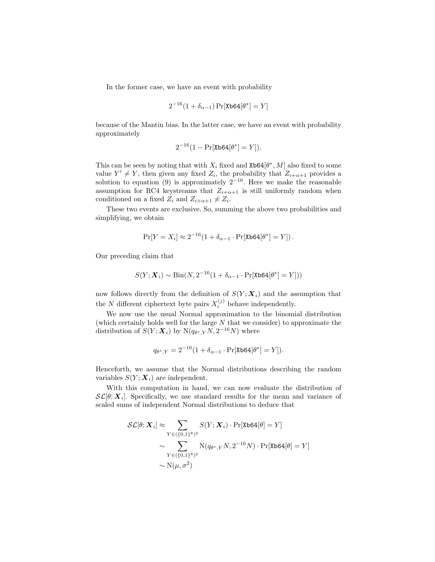In the former case, we have an event with probability

$$
2^{-16}(1+\delta_{\alpha-1})\Pr[\texttt{Xb64}[\theta^*]=Y]
$$

because of the Mantin bias. In the latter case, we have an event with probability approximately

$$
2^{-16}(1 - \Pr[\text{Xb64}[\theta^*] = Y]).
$$

This can be seen by noting that with  $X_i$  fixed and Xb64 $[\theta^*, M]$  also fixed to some value  $Y' \neq Y$ , then given any fixed  $Z_i$ , the probability that  $Z_{i+\alpha+1}$  provides a solution to equation (9) is approximately  $2^{-16}$ . Here we make the reasonable assumption for RC4 keystreams that  $Z_{i+\alpha+1}$  is still uniformly random when conditioned on a fixed  $Z_i$  and  $Z_{i+\alpha+1} \neq Z_i$ .

These two events are exclusive. So, summing the above two probabilities and simplifying, we obtain

$$
\Pr[Y = X_i] \approx 2^{-16} (1 + \delta_{\alpha - 1} \cdot \Pr[\text{Xb64}[\theta^*] = Y]).
$$

Our preceding claim that

$$
S(Y; \boldsymbol{X}_i) \sim \text{Bin}(N, 2^{-16} (1 + \delta_{\alpha - 1} \cdot \Pr[\text{Xb64}[\theta^*] = Y]))
$$

now follows directly from the definition of  $S(Y; X<sub>i</sub>)$  and the assumption that the N different ciphertext byte pairs  $X_i^{(j)}$  behave independently.

We now use the usual Normal approximation to the binomial distribution (which certainly holds well for the large  $N$  that we consider) to approximate the distribution of  $S(Y; X_i)$  by  $N(q_{\theta^*, Y}N, 2^{-16}N)$  where

$$
q_{\theta^*,Y} = 2^{-16} (1 + \delta_{\alpha - 1} \cdot \Pr[\text{Xb64}[\theta^*] = Y]).
$$

Henceforth, we assume that the Normal distributions describing the random variables  $S(Y; X_i)$  are independent.

With this computation in hand, we can now evaluate the distribution of  $\mathcal{SL}[\theta; \mathbf{X}_i]$ . Specifically, we use standard results for the mean and variance of scaled sums of independent Normal distributions to deduce that

$$
\mathcal{SL}[\theta; \mathbf{X}_i] \approx \sum_{Y \in (\{0,1\}^8)^2} S(Y; \mathbf{X}_i) \cdot \Pr[\text{Xb64}[\theta] = Y]
$$

$$
\sim \sum_{Y \in (\{0,1\}^8)^2} \mathcal{N}(q_{\theta^*,Y}N, 2^{-16}N) \cdot \Pr[\text{Xb64}[\theta] = Y]
$$

$$
\sim \mathcal{N}(\mu, \sigma^2)
$$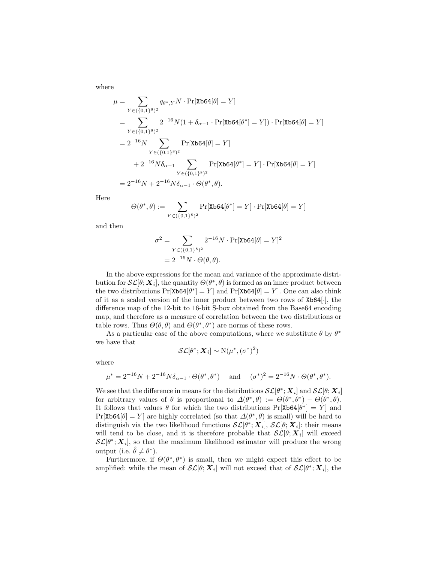where

$$
\mu = \sum_{Y \in (\{0,1\}^8)^2} q_{\theta^*,Y} N \cdot \Pr[\text{Xb64}[\theta] = Y]
$$
  
\n
$$
= \sum_{Y \in (\{0,1\}^8)^2} 2^{-16} N (1 + \delta_{\alpha-1} \cdot \Pr[\text{Xb64}[\theta^*] = Y]) \cdot \Pr[\text{Xb64}[\theta] = Y]
$$
  
\n
$$
= 2^{-16} N \sum_{Y \in (\{0,1\}^8)^2} \Pr[\text{Xb64}[\theta] = Y]
$$
  
\n
$$
+ 2^{-16} N \delta_{\alpha-1} \sum_{Y \in (\{0,1\}^8)^2} \Pr[\text{Xb64}[\theta^*] = Y] \cdot \Pr[\text{Xb64}[\theta] = Y]
$$
  
\n
$$
= 2^{-16} N + 2^{-16} N \delta_{\alpha-1} \cdot \Theta(\theta^*, \theta).
$$

Here

$$
\Theta(\theta^*,\theta) := \sum_{Y \in (\{0,1\}^8)^2} \Pr[\texttt{Xb64}[\theta^*] = Y] \cdot \Pr[\texttt{Xb64}[\theta] = Y]
$$

and then

$$
\sigma^{2} = \sum_{Y \in (\{0,1\}^{8})^{2}} 2^{-16} N \cdot \Pr[\text{Xb64}[\theta] = Y]^{2}
$$

$$
= 2^{-16} N \cdot \Theta(\theta, \theta).
$$

In the above expressions for the mean and variance of the approximate distribution for  $\mathcal{SL}[\theta; \mathbf{X}_i]$ , the quantity  $\Theta(\theta^*, \theta)$  is formed as an inner product between the two distributions  $Pr[X\mathbf{b64}[\theta^*] = Y]$  and  $Pr[X\mathbf{b64}[\theta] = Y]$ . One can also think of it as a scaled version of the inner product between two rows of Xb64[·], the difference map of the 12-bit to 16-bit S-box obtained from the Base64 encoding map, and therefore as a measure of correlation between the two distributions or table rows. Thus  $\Theta(\theta, \theta)$  and  $\Theta(\theta^*, \theta^*)$  are norms of these rows.

As a particular case of the above computations, where we substitute  $\theta$  by  $\theta^*$ we have that

$$
\mathcal{SL}[\theta^*; \mathbf{X}_i] \sim \mathrm{N}(\mu^*, (\sigma^*)^2)
$$

where

$$
\mu^* = 2^{-16}N + 2^{-16}N\delta_{\alpha-1} \cdot \Theta(\theta^*, \theta^*) \quad \text{ and } \quad (\sigma^*)^2 = 2^{-16}N \cdot \Theta(\theta^*, \theta^*).
$$

We see that the difference in means for the distributions  $\mathcal{SL}[\theta^*; X_i]$  and  $\mathcal{SL}[\theta; X_i]$ for arbitrary values of  $\theta$  is proportional to  $\Delta(\theta^*, \theta) := \Theta(\theta^*, \theta^*) - \Theta(\theta^*, \theta)$ . It follows that values  $\theta$  for which the two distributions  $Pr[X\mathbf{b64}[\theta^*] = Y]$  and Pr[Xb64[ $\theta$ ] = Y] are highly correlated (so that  $\Delta(\theta^*, \theta)$  is small) will be hard to distinguish via the two likelihood functions  $\mathcal{SL}[\theta^*; X_i]$ ,  $\mathcal{SL}[\theta; X_i]$ : their means will tend to be close, and it is therefore probable that  $\mathcal{SL}[\theta; \mathbf{X}_i]$  will exceed  $\mathcal{SL}[\theta^*; \mathbf{X}_i]$ , so that the maximum likelihood estimator will produce the wrong output (i.e.  $\hat{\theta} \neq \theta^*$ ).

Furthermore, if  $\Theta(\theta^*, \theta^*)$  is small, then we might expect this effect to be amplified: while the mean of  $\mathcal{SL}[\theta; X_i]$  will not exceed that of  $\mathcal{SL}[\theta^*; X_i]$ , the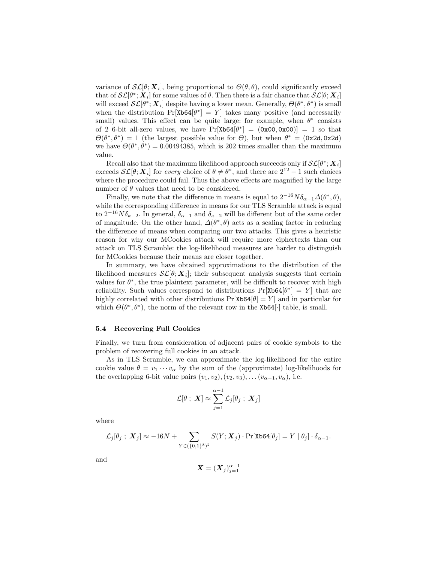variance of  $\mathcal{SL}[\theta; \mathbf{X}_i]$ , being proportional to  $\Theta(\theta, \theta)$ , could significantly exceed that of  $\mathcal{SL}[\theta^*; X_i]$  for some values of  $\theta$ . Then there is a fair chance that  $\mathcal{SL}[\theta; X_i]$ will exceed  $\mathcal{SL}[\theta^*; X_i]$  despite having a lower mean. Generally,  $\Theta(\theta^*, \theta^*)$  is small when the distribution  $Pr[X\triangleright 64[\theta^*] = Y]$  takes many positive (and necessarily small) values. This effect can be quite large: for example, when  $\theta^*$  consists of 2 6-bit all-zero values, we have  $Pr[Xb64[\theta^*] = (0x00, 0x00)] = 1$  so that  $\Theta(\theta^*, \theta^*) = 1$  (the largest possible value for  $\Theta$ ), but when  $\theta^* = (\text{0x2d}, \text{0x2d})$ we have  $\Theta(\theta^*, \theta^*) = 0.00494385$ , which is 202 times smaller than the maximum value.

Recall also that the maximum likelihood approach succeeds only if  $\mathcal{SL}[\theta^*; \boldsymbol{X}_i]$ exceeds  $\mathcal{SL}[\theta; \mathbf{X}_i]$  for every choice of  $\theta \neq \theta^*$ , and there are  $2^{12} - 1$  such choices where the procedure could fail. Thus the above effects are magnified by the large number of  $\theta$  values that need to be considered.

Finally, we note that the difference in means is equal to  $2^{-16}N\delta_{\alpha-1}\Delta(\theta^*,\theta)$ , while the corresponding difference in means for our TLS Scramble attack is equal to  $2^{-16}N\delta_{\kappa-2}$ . In general,  $\delta_{\alpha-1}$  and  $\delta_{\kappa-2}$  will be different but of the same order of magnitude. On the other hand,  $\Delta(\theta^*, \theta)$  acts as a scaling factor in reducing the difference of means when comparing our two attacks. This gives a heuristic reason for why our MCookies attack will require more ciphertexts than our attack on TLS Scramble: the log-likelihood measures are harder to distinguish for MCookies because their means are closer together.

In summary, we have obtained approximations to the distribution of the likelihood measures  $\mathcal{SL}[\theta; \mathbf{X}_i]$ ; their subsequent analysis suggests that certain values for  $\theta^*$ , the true plaintext parameter, will be difficult to recover with high reliability. Such values correspond to distributions  $Pr[Xb64[\theta^*] = Y]$  that are highly correlated with other distributions  $Pr[X\ge 64|\theta] = Y$  and in particular for which  $\Theta(\theta^*, \theta^*)$ , the norm of the relevant row in the Xb64[·] table, is small.

#### 5.4 Recovering Full Cookies

Finally, we turn from consideration of adjacent pairs of cookie symbols to the problem of recovering full cookies in an attack.

As in TLS Scramble, we can approximate the log-likelihood for the entire cookie value  $\theta = v_1 \cdots v_\alpha$  by the sum of the (approximate) log-likelihoods for the overlapping 6-bit value pairs  $(v_1, v_2), (v_2, v_3), \ldots (v_{\alpha-1}, v_{\alpha}),$  i.e.

$$
\mathcal{L}[\theta \; ; \; \bm{X}] \approx \sum_{j=1}^{\alpha-1} \mathcal{L}_j[\theta_j \; ; \; \bm{X}_j]
$$

where

$$
\mathcal{L}_j[\theta_j \ ; \ \mathcal{\boldsymbol{X}}_j] \approx -16N + \sum_{Y \in \left(\{0,1\}^8\right)^2} S(Y; \mathcal{\boldsymbol{X}}_j) \cdot \Pr[\texttt{Xb64}[\theta_j] = Y \mid \theta_j] \cdot \delta_{\alpha-1}.
$$

and

$$
\bm{X}=(\bm{X}_j)_{j=1}^{\alpha-1}
$$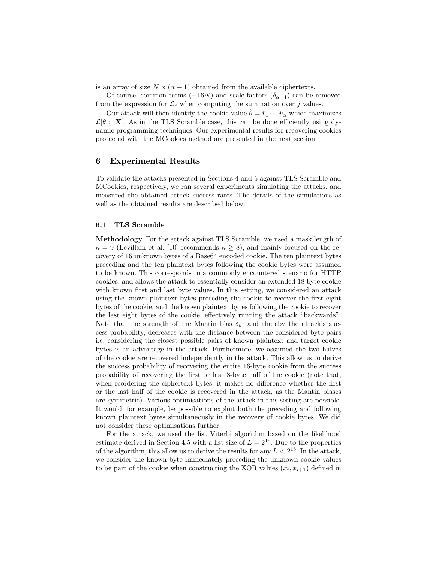is an array of size  $N \times (\alpha - 1)$  obtained from the available ciphertexts.

Of course, common terms ( $-16N$ ) and scale-factors ( $\delta_{\alpha-1}$ ) can be removed from the expression for  $\mathcal{L}_j$  when computing the summation over j values.

Our attack will then identify the cookie value  $\hat{\theta} = \hat{v}_1 \cdots \hat{v}_\alpha$  which maximizes  $\mathcal{L}[\theta : X]$ . As in the TLS Scramble case, this can be done efficiently using dynamic programming techniques. Our experimental results for recovering cookies protected with the MCookies method are presented in the next section.

## 6 Experimental Results

To validate the attacks presented in Sections 4 and 5 against TLS Scramble and MCookies, respectively, we ran several experiments simulating the attacks, and measured the obtained attack success rates. The details of the simulations as well as the obtained results are described below.

#### 6.1 TLS Scramble

Methodology For the attack against TLS Scramble, we used a mask length of  $\kappa = 9$  (Levillain et al. [10] recommends  $\kappa \ge 8$ ), and mainly focused on the recovery of 16 unknown bytes of a Base64 encoded cookie. The ten plaintext bytes preceding and the ten plaintext bytes following the cookie bytes were assumed to be known. This corresponds to a commonly encountered scenario for HTTP cookies, and allows the attack to essentially consider an extended 18 byte cookie with known first and last byte values. In this setting, we considered an attack using the known plaintext bytes preceding the cookie to recover the first eight bytes of the cookie, and the known plaintext bytes following the cookie to recover the last eight bytes of the cookie, effectively running the attack "backwards". Note that the strength of the Mantin bias  $\delta_k$ , and thereby the attack's success probability, decreases with the distance between the considered byte pairs i.e. considering the closest possible pairs of known plaintext and target cookie bytes is an advantage in the attack. Furthermore, we assumed the two halves of the cookie are recovered independently in the attack. This allow us to derive the success probability of recovering the entire 16-byte cookie from the success probability of recovering the first or last 8-byte half of the cookie (note that, when reordering the ciphertext bytes, it makes no difference whether the first or the last half of the cookie is recovered in the attack, as the Mantin biases are symmetric). Various optimisations of the attack in this setting are possible. It would, for example, be possible to exploit both the preceding and following known plaintext bytes simultaneously in the recovery of cookie bytes. We did not consider these optimisations further.

For the attack, we used the list Viterbi algorithm based on the likelihood estimate derived in Section 4.5 with a list size of  $L = 2^{15}$ . Due to the properties of the algorithm, this allow us to derive the results for any  $L < 2^{15}$ . In the attack, we consider the known byte immediately preceding the unknown cookie values to be part of the cookie when constructing the XOR values  $(x_i, x_{i+1})$  defined in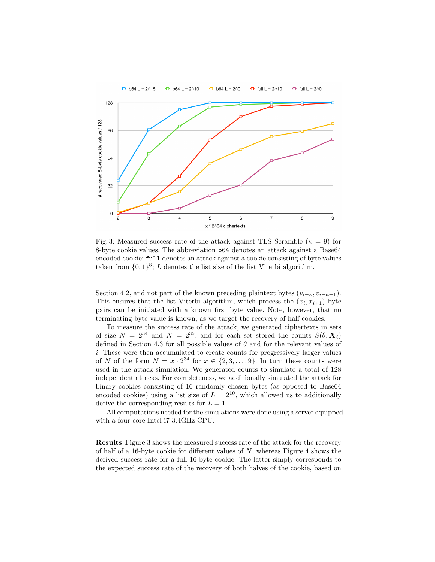

Fig. 3: Measured success rate of the attack against TLS Scramble ( $\kappa = 9$ ) for 8-byte cookie values. The abbreviation b64 denotes an attack against a Base64 encoded cookie; full denotes an attack against a cookie consisting of byte values taken from  $\{0,1\}^8$ ; L denotes the list size of the list Viterbi algorithm.

Section 4.2, and not part of the known preceding plaintext bytes  $(v_{i-\kappa}, v_{i-\kappa+1})$ . This ensures that the list Viterbi algorithm, which process the  $(x_i, x_{i+1})$  byte pairs can be initiated with a known first byte value. Note, however, that no terminating byte value is known, as we target the recovery of half cookies.

To measure the success rate of the attack, we generated ciphertexts in sets of size  $N = 2^{34}$  and  $N = 2^{35}$ , and for each set stored the counts  $S(\theta, X_i)$ defined in Section 4.3 for all possible values of  $\theta$  and for the relevant values of i. These were then accumulated to create counts for progressively larger values of N of the form  $N = x \cdot 2^{34}$  for  $x \in \{2, 3, \ldots, 9\}$ . In turn these counts were used in the attack simulation. We generated counts to simulate a total of 128 independent attacks. For completeness, we additionally simulated the attack for binary cookies consisting of 16 randomly chosen bytes (as opposed to Base64 encoded cookies) using a list size of  $L = 2^{10}$ , which allowed us to additionally derive the corresponding results for  $L = 1$ .

All computations needed for the simulations were done using a server equipped with a four-core Intel i7 3.4GHz CPU.

Results Figure 3 shows the measured success rate of the attack for the recovery of half of a 16-byte cookie for different values of  $N$ , whereas Figure 4 shows the derived success rate for a full 16-byte cookie. The latter simply corresponds to the expected success rate of the recovery of both halves of the cookie, based on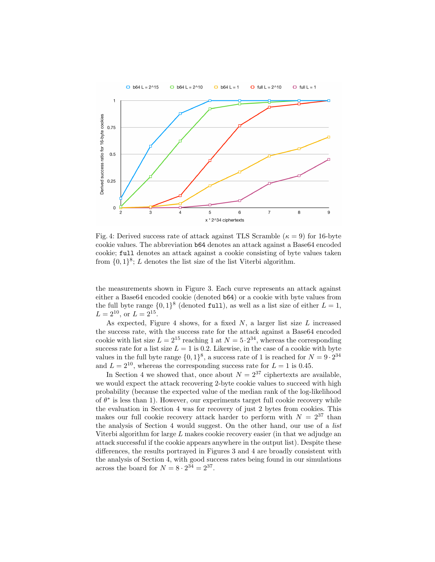

Fig. 4: Derived success rate of attack against TLS Scramble ( $\kappa = 9$ ) for 16-byte cookie values. The abbreviation b64 denotes an attack against a Base64 encoded cookie; full denotes an attack against a cookie consisting of byte values taken from  $\{0,1\}^8$ ; L denotes the list size of the list Viterbi algorithm.

the measurements shown in Figure 3. Each curve represents an attack against either a Base64 encoded cookie (denoted b64) or a cookie with byte values from the full byte range  $\{0,1\}^8$  (denoted full), as well as a list size of either  $L = 1$ ,  $L = 2^{10}$ , or  $L = 2^{15}$ .

As expected, Figure 4 shows, for a fixed  $N$ , a larger list size  $L$  increased the success rate, with the success rate for the attack against a Base64 encoded cookie with list size  $L = 2^{15}$  reaching 1 at  $N = 5 \cdot 2^{34}$ , whereas the corresponding success rate for a list size  $L = 1$  is 0.2. Likewise, in the case of a cookie with byte values in the full byte range  $\{0,1\}^8$ , a success rate of 1 is reached for  $N = 9 \cdot 2^{34}$ and  $L = 2^{10}$ , whereas the corresponding success rate for  $L = 1$  is 0.45.

In Section 4 we showed that, once about  $N = 2^{37}$  ciphertexts are available, we would expect the attack recovering 2-byte cookie values to succeed with high probability (because the expected value of the median rank of the log-likelihood of  $\theta^*$  is less than 1). However, our experiments target full cookie recovery while the evaluation in Section 4 was for recovery of just 2 bytes from cookies. This makes our full cookie recovery attack harder to perform with  $N = 2^{37}$  than the analysis of Section 4 would suggest. On the other hand, our use of a list Viterbi algorithm for large  $L$  makes cookie recovery easier (in that we adjudge an attack successful if the cookie appears anywhere in the output list). Despite these differences, the results portrayed in Figures 3 and 4 are broadly consistent with the analysis of Section 4, with good success rates being found in our simulations across the board for  $N = 8 \cdot 2^{34} = 2^{37}$ .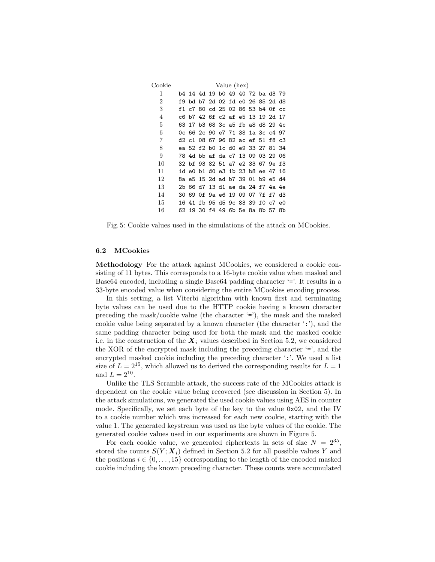| Cookie |     | Value (hex) |                                            |  |  |  |  |  |                            |  |    |
|--------|-----|-------------|--------------------------------------------|--|--|--|--|--|----------------------------|--|----|
| 1      |     |             | b4 14 4d 19 b0 49 40 72 ba d3 79           |  |  |  |  |  |                            |  |    |
| 2      | f9. |             | bd b7 2d 02 fd e0 26 85 2d d8              |  |  |  |  |  |                            |  |    |
| 3      | f1  |             | c7 80 cd 25 02 86 53 b4 0f cc              |  |  |  |  |  |                            |  |    |
| 4      |     |             | c6 b7 42 6f c2 af e5 13 19 2d 17           |  |  |  |  |  |                            |  |    |
| 5      | 63  |             | 17 b3 68 3c a5 fb a8 d8 29 4c              |  |  |  |  |  |                            |  |    |
| 6      |     |             | Oc 66 2c 90 e7 71 38 1a 3c c4 97           |  |  |  |  |  |                            |  |    |
| 7      |     |             | d2 c1 08 67 96 82 ac ef 51 f8 c3           |  |  |  |  |  |                            |  |    |
| 8      |     |             | ea 52 f2 b0 1c d0 e9 33 27 81 34           |  |  |  |  |  |                            |  |    |
| 9      |     |             | 78  4d  bb  af  da  c7  13  09  03  29  06 |  |  |  |  |  |                            |  |    |
| 10     |     |             | 32 bf 93 82 51 a7 e2 33 67 9e f3           |  |  |  |  |  |                            |  |    |
| 11     |     |             | 1d e0 b1 d0 e3 1b 23 b8 ee 47 16           |  |  |  |  |  |                            |  |    |
| 12     |     |             | 8a e5 15 2d ad b7 39 01 b9 e5 d4           |  |  |  |  |  |                            |  |    |
| 13     |     |             | 2b 66 d7 13 d1 ae da 24 f7 4a 4e           |  |  |  |  |  |                            |  |    |
| 14     |     |             | 30 69 0f 9a e6 19 09 07 7f f7 d3           |  |  |  |  |  |                            |  |    |
| 15     | 16  | 41          |                                            |  |  |  |  |  | fb 95 d5 9c 83 39 f0 c7 e0 |  |    |
| 16     |     |             | 62 19 30 f4 49 6b 5e 8a 8b 57              |  |  |  |  |  |                            |  | 8b |

Fig. 5: Cookie values used in the simulations of the attack on MCookies.

#### 6.2 MCookies

Methodology For the attack against MCookies, we considered a cookie consisting of 11 bytes. This corresponds to a 16-byte cookie value when masked and Base64 encoded, including a single Base64 padding character '='. It results in a 33-byte encoded value when considering the entire MCookies encoding process.

In this setting, a list Viterbi algorithm with known first and terminating byte values can be used due to the HTTP cookie having a known character preceding the mask/cookie value (the character '='), the mask and the masked cookie value being separated by a known character (the character  $\langle \cdot, \cdot \rangle$ ), and the same padding character being used for both the mask and the masked cookie i.e. in the construction of the  $X_i$  values described in Section 5.2, we considered the XOR of the encrypted mask including the preceding character '=', and the encrypted masked cookie including the preceding character ':'. We used a list size of  $L = 2^{15}$ , which allowed us to derived the corresponding results for  $L = 1$ and  $L = 2^{10}$ .

Unlike the TLS Scramble attack, the success rate of the MCookies attack is dependent on the cookie value being recovered (see discussion in Section 5). In the attack simulations, we generated the used cookie values using AES in counter mode. Specifically, we set each byte of the key to the value 0x02, and the IV to a cookie number which was increased for each new cookie, starting with the value 1. The generated keystream was used as the byte values of the cookie. The generated cookie values used in our experiments are shown in Figure 5.

For each cookie value, we generated ciphertexts in sets of size  $N = 2^{35}$ , stored the counts  $S(Y; X_i)$  defined in Section 5.2 for all possible values Y and the positions  $i \in \{0, \ldots, 15\}$  corresponding to the length of the encoded masked cookie including the known preceding character. These counts were accumulated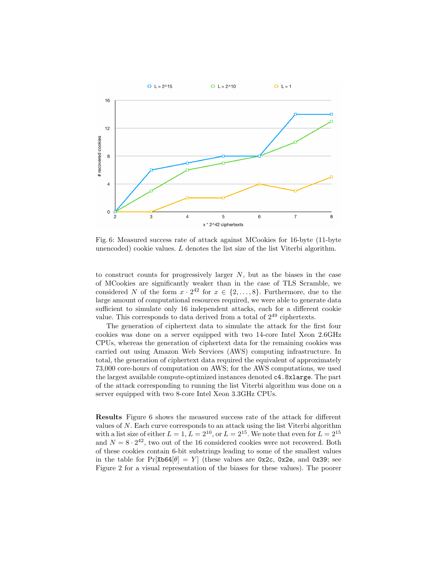

Fig. 6: Measured success rate of attack against MCookies for 16-byte (11-byte unencoded) cookie values.  $L$  denotes the list size of the list Viterbi algorithm.

to construct counts for progressively larger  $N$ , but as the biases in the case of MCookies are significantly weaker than in the case of TLS Scramble, we considered N of the form  $x \cdot 2^{42}$  for  $x \in \{2, \ldots, 8\}$ . Furthermore, due to the large amount of computational resources required, we were able to generate data sufficient to simulate only 16 independent attacks, each for a different cookie value. This corresponds to data derived from a total of  $2^{49}$  ciphertexts.

The generation of ciphertext data to simulate the attack for the first four cookies was done on a server equipped with two 14-core Intel Xeon 2.6GHz CPUs, whereas the generation of ciphertext data for the remaining cookies was carried out using Amazon Web Services (AWS) computing infrastructure. In total, the generation of ciphertext data required the equivalent of approximately 73,000 core-hours of computation on AWS; for the AWS computations, we used the largest available compute-optimized instances denoted c4.8xlarge. The part of the attack corresponding to running the list Viterbi algorithm was done on a server equipped with two 8-core Intel Xeon 3.3GHz CPUs.

Results Figure 6 shows the measured success rate of the attack for different values of  $N$ . Each curve corresponds to an attack using the list Viterbi algorithm with a list size of either  $L = 1$ ,  $L = 2^{10}$ , or  $L = 2^{15}$ . We note that even for  $L = 2^{15}$ and  $N = 8 \cdot 2^{42}$ , two out of the 16 considered cookies were not recovered. Both of these cookies contain 6-bit substrings leading to some of the smallest values in the table for  $Pr[X\mathbf{b64}|\theta] = Y$  (these values are 0x2c, 0x2e, and 0x39; see Figure 2 for a visual representation of the biases for these values). The poorer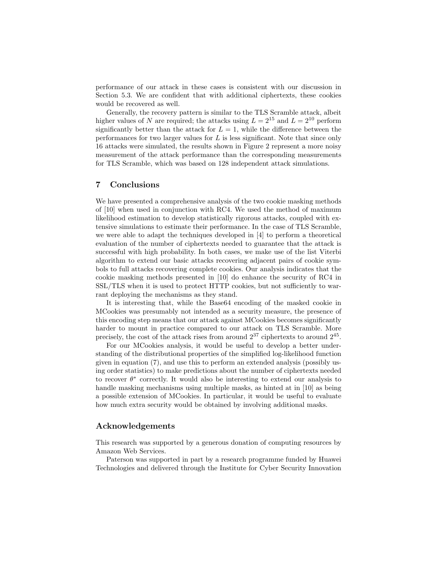performance of our attack in these cases is consistent with our discussion in Section 5.3. We are confident that with additional ciphertexts, these cookies would be recovered as well.

Generally, the recovery pattern is similar to the TLS Scramble attack, albeit higher values of N are required; the attacks using  $L = 2^{15}$  and  $L = 2^{10}$  perform significantly better than the attack for  $L = 1$ , while the difference between the performances for two larger values for  $L$  is less significant. Note that since only 16 attacks were simulated, the results shown in Figure 2 represent a more noisy measurement of the attack performance than the corresponding measurements for TLS Scramble, which was based on 128 independent attack simulations.

## 7 Conclusions

We have presented a comprehensive analysis of the two cookie masking methods of [10] when used in conjunction with RC4. We used the method of maximum likelihood estimation to develop statistically rigorous attacks, coupled with extensive simulations to estimate their performance. In the case of TLS Scramble, we were able to adapt the techniques developed in [4] to perform a theoretical evaluation of the number of ciphertexts needed to guarantee that the attack is successful with high probability. In both cases, we make use of the list Viterbi algorithm to extend our basic attacks recovering adjacent pairs of cookie symbols to full attacks recovering complete cookies. Our analysis indicates that the cookie masking methods presented in [10] do enhance the security of RC4 in SSL/TLS when it is used to protect HTTP cookies, but not sufficiently to warrant deploying the mechanisms as they stand.

It is interesting that, while the Base64 encoding of the masked cookie in MCookies was presumably not intended as a security measure, the presence of this encoding step means that our attack against MCookies becomes significantly harder to mount in practice compared to our attack on TLS Scramble. More precisely, the cost of the attack rises from around  $2^{37}$  ciphertexts to around  $2^{45}$ .

For our MCookies analysis, it would be useful to develop a better understanding of the distributional properties of the simplified log-likelihood function given in equation (7), and use this to perform an extended analysis (possibly using order statistics) to make predictions about the number of ciphertexts needed to recover  $\theta^*$  correctly. It would also be interesting to extend our analysis to handle masking mechanisms using multiple masks, as hinted at in [10] as being a possible extension of MCookies. In particular, it would be useful to evaluate how much extra security would be obtained by involving additional masks.

## Acknowledgements

This research was supported by a generous donation of computing resources by Amazon Web Services.

Paterson was supported in part by a research programme funded by Huawei Technologies and delivered through the Institute for Cyber Security Innovation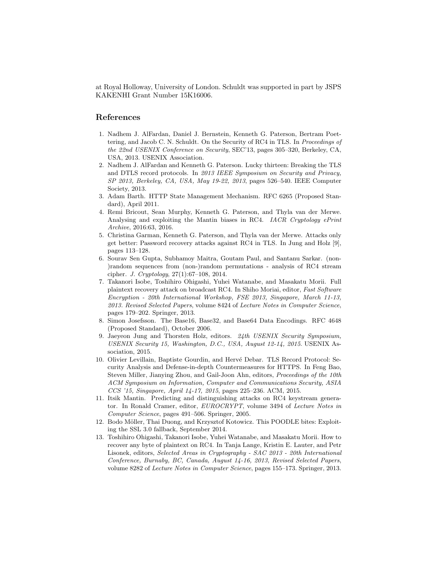at Royal Holloway, University of London. Schuldt was supported in part by JSPS KAKENHI Grant Number 15K16006.

## References

- 1. Nadhem J. AlFardan, Daniel J. Bernstein, Kenneth G. Paterson, Bertram Poettering, and Jacob C. N. Schuldt. On the Security of RC4 in TLS. In Proceedings of the 22nd USENIX Conference on Security, SEC'13, pages 305–320, Berkeley, CA, USA, 2013. USENIX Association.
- 2. Nadhem J. AlFardan and Kenneth G. Paterson. Lucky thirteen: Breaking the TLS and DTLS record protocols. In 2013 IEEE Symposium on Security and Privacy, SP 2013, Berkeley, CA, USA, May 19-22, 2013, pages 526–540. IEEE Computer Society, 2013.
- 3. Adam Barth. HTTP State Management Mechanism. RFC 6265 (Proposed Standard), April 2011.
- 4. Remi Bricout, Sean Murphy, Kenneth G. Paterson, and Thyla van der Merwe. Analysing and exploiting the Mantin biases in RC4. IACR Cryptology ePrint Archive, 2016:63, 2016.
- 5. Christina Garman, Kenneth G. Paterson, and Thyla van der Merwe. Attacks only get better: Password recovery attacks against RC4 in TLS. In Jung and Holz [9], pages 113–128.
- 6. Sourav Sen Gupta, Subhamoy Maitra, Goutam Paul, and Santanu Sarkar. (non- )random sequences from (non-)random permutations - analysis of RC4 stream cipher. J. Cryptology, 27(1):67–108, 2014.
- 7. Takanori Isobe, Toshihiro Ohigashi, Yuhei Watanabe, and Masakatu Morii. Full plaintext recovery attack on broadcast RC4. In Shiho Moriai, editor, Fast Software Encryption - 20th International Workshop, FSE 2013, Singapore, March 11-13, 2013. Revised Selected Papers, volume 8424 of Lecture Notes in Computer Science, pages 179–202. Springer, 2013.
- 8. Simon Josefsson. The Base16, Base32, and Base64 Data Encodings. RFC 4648 (Proposed Standard), October 2006.
- 9. Jaeyeon Jung and Thorsten Holz, editors. 24th USENIX Security Symposium, USENIX Security 15, Washington, D.C., USA, August 12-14, 2015. USENIX Association, 2015.
- 10. Olivier Levillain, Baptiste Gourdin, and Hervé Debar. TLS Record Protocol: Security Analysis and Defense-in-depth Countermeasures for HTTPS. In Feng Bao, Steven Miller, Jianying Zhou, and Gail-Joon Ahn, editors, Proceedings of the 10th ACM Symposium on Information, Computer and Communications Security, ASIA CCS '15, Singapore, April 14-17, 2015, pages 225–236. ACM, 2015.
- 11. Itsik Mantin. Predicting and distinguishing attacks on RC4 keystream generator. In Ronald Cramer, editor, EUROCRYPT, volume 3494 of Lecture Notes in Computer Science, pages 491–506. Springer, 2005.
- 12. Bodo Möller, Thai Duong, and Krzysztof Kotowicz. This POODLE bites: Exploiting the SSL 3.0 fallback, September 2014.
- 13. Toshihiro Ohigashi, Takanori Isobe, Yuhei Watanabe, and Masakatu Morii. How to recover any byte of plaintext on RC4. In Tanja Lange, Kristin E. Lauter, and Petr Lisonek, editors, Selected Areas in Cryptography - SAC 2013 - 20th International Conference, Burnaby, BC, Canada, August 14-16, 2013, Revised Selected Papers, volume 8282 of Lecture Notes in Computer Science, pages 155–173. Springer, 2013.